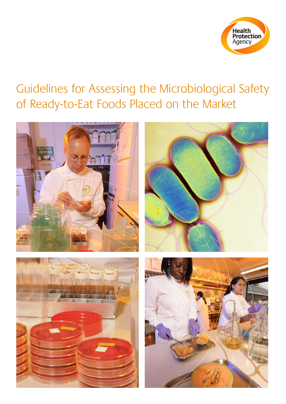

# Guidelines for Assessing the Microbiological Safety of Ready-to-Eat Foods Placed on the Market

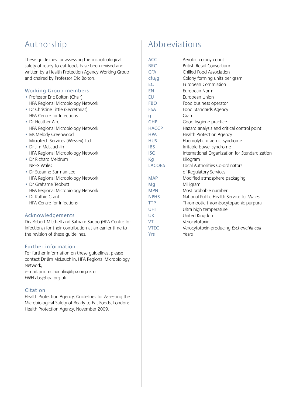## Authorship

These guidelines for assessing the microbiological safety of ready-to-eat foods have been revised and written by a Health Protection Agency Working Group and chaired by Professor Eric Bolton.

#### Working Group members

- Professor Eric Bolton (Chair) HPA Regional Microbiology Network
- Dr Christine Little (Secretariat) HPA Centre for Infections
- Dr Heather Aird HPA Regional Microbiology Network
- Ms Melody Greenwood Microtech Services (Wessex) Ltd
- Dr Jim McLauchlin HPA Regional Microbiology Network
- Dr Richard Meldrum NPHS Wales
- Dr Susanne Surman-Lee HPA Regional Microbiology Network
- Dr Grahame Tebbutt HPA Regional Microbiology Network
- Dr Kathie Grant HPA Centre for Infections

#### Acknowledgements

Drs Robert Mitchell and Satnam Sagoo (HPA Centre for Infections) for their contribution at an earlier time to the revision of these guidelines.

#### Further information

For further information on these guidelines, please contact Dr Jim McLauchlin, HPA Regional Microbiology Network,

e-mail: jim.mclauchlin@hpa.org.uk or FWELabs@hpa.org.uk

#### Citation

Health Protection Agency. Guidelines for Assessing the Microbiological Safety of Ready-to-Eat Foods. London: Health Protection Agency, November 2009.

## Abbreviations

| <b>ACC</b>    | Aerobic colony count                           |
|---------------|------------------------------------------------|
| <b>BRC</b>    | British Retail Consortium                      |
| <b>CFA</b>    | Chilled Food Association                       |
| ctu/g         | Colony forming units per gram                  |
| <b>EC</b>     | European Commission                            |
| <b>EN</b>     | European Norm                                  |
| EU            | European Union                                 |
| <b>FBO</b>    | Food business operator                         |
| <b>FSA</b>    | Food Standards Agency                          |
| g             | Gram                                           |
| <b>GHP</b>    | Good hygiene practice                          |
| <b>HACCP</b>  | Hazard analysis and critical control point     |
| <b>HPA</b>    | <b>Health Protection Agency</b>                |
| <b>HUS</b>    | Haemolytic uraemic syndrome                    |
| <b>IBS</b>    | Irritable bowel syndrome                       |
| <b>ISO</b>    | International Organization for Standardization |
| Kg            | Kilogram                                       |
| <b>LACORS</b> | Local Authorities Co-ordinators                |
|               | of Regulatory Services                         |
| <b>MAP</b>    | Modified atmosphere packaging                  |
| Mg            | Milligram                                      |
| <b>MPN</b>    | Most probable number                           |
| <b>NPHS</b>   | National Public Health Service for Wales       |
| <b>TTP</b>    | Thrombotic thrombocytopaenic purpura           |
| <b>UHT</b>    | Ultra high temperature                         |
| UK            | United Kingdom                                 |
| VT            | Verocytotoxin                                  |
| <b>VTEC</b>   | Verocytotoxin-producing Escherichia coli       |
| <b>Yrs</b>    | Years                                          |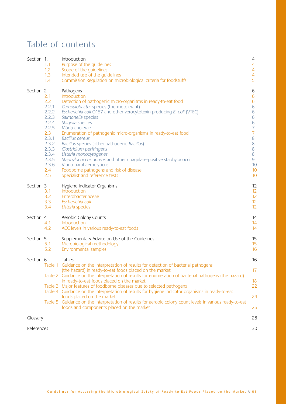## Table of contents

| Section 1. | 1.1<br>1.2<br>1.3<br>1.4                                                                                                           | Introduction<br>Purpose of the guidelines<br>Scope of the guidelines<br>Intended use of the guidelines<br>Commission Regulation on microbiological criteria for foodstuffs                                                                                                                                                                                                                                                                                                                                                                                                                                                                              | 4<br>$\overline{4}$<br>$\overline{4}$<br>$\overline{4}$<br>5                                                                                                              |
|------------|------------------------------------------------------------------------------------------------------------------------------------|---------------------------------------------------------------------------------------------------------------------------------------------------------------------------------------------------------------------------------------------------------------------------------------------------------------------------------------------------------------------------------------------------------------------------------------------------------------------------------------------------------------------------------------------------------------------------------------------------------------------------------------------------------|---------------------------------------------------------------------------------------------------------------------------------------------------------------------------|
| Section 2  | 2.1<br>2.2<br>2.2.1<br>2.2.2<br>2.2.3<br>2.2.4<br>2.2.5<br>2.3<br>2.3.1<br>2.3.2<br>2.3.3<br>2.3.4<br>2.3.5<br>2.3.6<br>2.4<br>2.5 | Pathogens<br>Introduction<br>Detection of pathogenic micro-organisms in ready-to-eat food<br>Campylobacter species (thermotolerant)<br>Escherichia coli O157 and other verocytotoxin-producing E. coli (VTEC)<br>Salmonella species<br>Shigella species<br>Vibrio cholerae<br>Enumeration of pathogenic micro-organisms in ready-to-eat food<br><b>Bacillus cereus</b><br>Bacillus species (other pathogenic Bacillus)<br>Clostridium perfringens<br>Listeria monocytogenes<br>Staphylococcus aureus and other coagulase-positive staphylococci<br>Vibrio parahaemolyticus<br>Foodborne pathogens and risk of disease<br>Specialist and reference tests | 6<br>$\sqrt{6}$<br>$\sqrt{6}$<br>$\sqrt{6}$<br>$\,$ 6 $\,$<br>6<br>6<br>7<br>$\overline{7}$<br>$\,8\,$<br>$\,8\,$<br>$\,8\,$<br>$8\,$<br>$\overline{9}$<br>10<br>10<br>10 |
| Section 3  | 3.1<br>3.2<br>3.3<br>3.4                                                                                                           | Hygiene Indicator Organisms<br>Introduction<br>Enterobacteriaceae<br>Escherichia coli<br>Listeria species                                                                                                                                                                                                                                                                                                                                                                                                                                                                                                                                               | 12<br>12<br>12<br>12<br>12                                                                                                                                                |
| Section 4  | 4.1<br>4.2                                                                                                                         | Aerobic Colony Counts<br>Introduction<br>ACC levels in various ready-to-eat foods                                                                                                                                                                                                                                                                                                                                                                                                                                                                                                                                                                       | 14<br>14<br>14                                                                                                                                                            |
| Section 5  | 5.1<br>5.2                                                                                                                         | Supplementary Advice on Use of the Guidelines<br>Microbiological methodology<br><b>Environmental samples</b>                                                                                                                                                                                                                                                                                                                                                                                                                                                                                                                                            | 15<br>15<br>16                                                                                                                                                            |
| Section 6  |                                                                                                                                    | Tables                                                                                                                                                                                                                                                                                                                                                                                                                                                                                                                                                                                                                                                  | 16                                                                                                                                                                        |
|            |                                                                                                                                    | Table 1 Guidance on the interpretation of results for detection of bacterial pathogens<br>(the hazard) in ready-to-eat foods placed on the market<br>Table 2 Guidance on the interpretation of results for enumeration of bacterial pathogens (the hazard)                                                                                                                                                                                                                                                                                                                                                                                              | 17                                                                                                                                                                        |
|            |                                                                                                                                    | in ready-to-eat foods placed on the market                                                                                                                                                                                                                                                                                                                                                                                                                                                                                                                                                                                                              | 18                                                                                                                                                                        |
|            |                                                                                                                                    | Table 3 Major features of foodborne diseases due to selected pathogens<br>Table 4 Guidance on the interpretation of results for hygiene indicator organisms in ready-to-eat                                                                                                                                                                                                                                                                                                                                                                                                                                                                             | 22                                                                                                                                                                        |
|            |                                                                                                                                    | foods placed on the market<br>Table 5 Guidance on the interpretation of results for aerobic colony count levels in various ready-to-eat                                                                                                                                                                                                                                                                                                                                                                                                                                                                                                                 | 24                                                                                                                                                                        |
|            |                                                                                                                                    | foods and components placed on the market                                                                                                                                                                                                                                                                                                                                                                                                                                                                                                                                                                                                               | 26                                                                                                                                                                        |
| Glossary   |                                                                                                                                    |                                                                                                                                                                                                                                                                                                                                                                                                                                                                                                                                                                                                                                                         | 28                                                                                                                                                                        |
| References |                                                                                                                                    |                                                                                                                                                                                                                                                                                                                                                                                                                                                                                                                                                                                                                                                         | 3 <sub>C</sub>                                                                                                                                                            |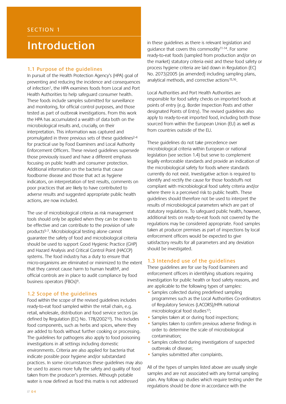# **Introduction**

#### 1.1 Purpose of the guidelines

In pursuit of the Health Protection Agency's (HPA) goal of preventing and reducing the incidence and consequences of infection1, the HPA examines foods from Local and Port Health Authorities to help safeguard consumer health. These foods include samples submitted for surveillance and monitoring, for official control purposes, and those tested as part of outbreak investigations. From this work the HPA has accumulated a wealth of data both on the microbiological results and, crucially, on their interpretation. This information was captured and promulgated in three previous sets of these guidelines<sup>2-4</sup> for practical use by Food Examiners and Local Authority Enforcement Officers. These revised guidelines supersede those previously issued and have a different emphasis focusing on public health and consumer protection. Additional information on the bacteria that cause foodborne disease and those that act as hygiene indicators, on interpretation of test results, comments on poor practices that are likely to have contributed to adverse results and suggested appropriate public health actions, are now included.

The use of microbiological criteria as risk management tools should only be applied when they can be shown to be effective and can contribute to the provision of safe products5-7. Microbiological testing alone cannot guarantee the safety of food and microbiological criteria should be used to support Good Hygienic Practice (GHP) and Hazard Analysis and Critical Control Point (HACCP) systems. The food industry has a duty to ensure that micro-organisms are eliminated or minimized to the extent that they cannot cause harm to human health<sup>8</sup>, and official controls are in place to audit compliance by food business operators (FBOs)9.

#### 1.2 Scope of the guidelines

Food within the scope of the revised guidelines includes ready-to-eat food sampled within the retail chain, e.g. retail, wholesale, distribution and food service sectors (as defined by Regulation (EC) No. 178/200210). This includes food components, such as herbs and spices, where they are added to foods without further cooking or processing. The guidelines for pathogens also apply to food poisoning investigations in all settings including domestic environments. Criteria are also applied for bacteria that indicate possible poor hygiene and/or substandard practices. In some circumstances these guidelines may also be used to assess more fully the safety and quality of food taken from the producer's premises. Although potable water is now defined as food this matrix is not addressed

in these guidelines as there is relevant legislation and guidance that covers this commodity<sup>11-14</sup>. For some ready-to-eat foods (sampled from production and/or on the market) statutory criteria exist and these food safety or process hygiene criteria are laid down in Regulation (EC) No. 2073/2005 (as amended) including sampling plans, analytical methods, and corrective actions15,16.

Local Authorities and Port Health Authorities are responsible for food safety checks on imported foods at points of entry (e.g. Border Inspection Posts and other designated Points of Entry). The revised guidelines also apply to ready-to-eat imported food, including both those sourced from within the European Union (EU) as well as from countries outside of the EU.

These guidelines do not take precedence over microbiological criteria within European or national legislation (see section 1.4) but serve to complement legally enforceable standards and provide an indication of the microbiological safety for foods where standards currently do not exist. Investigative action is required to identify and rectify the cause for those foodstuffs not compliant with microbiological food safety criteria and/or where there is a perceived risk to public health. These guidelines should therefore not be used to interpret the results of microbiological parameters which are part of statutory regulations. To safeguard public health, however, additional tests on ready-to-eat foods not covered by the regulations may be considered appropriate. Food samples taken at producer premises as part of inspections by local enforcement officers would be expected to give satisfactory results for all parameters and any deviation should be investigated.

#### 1.3 Intended use of the guidelines

These guidelines are for use by Food Examiners and enforcement officers in identifying situations requiring investigation for public health or food safety reasons, and are applicable to the following types of samples:

- Samples collected during predefined sampling programmes such as the Local Authorities Co-ordinators of Regulatory Services (LACORS)/HPA national microbiological food studies<sup>17</sup>;
- Samples taken at or during food inspections;
- Samples taken to confirm previous adverse findings in order to determine the scale of microbiological contamination;
- Samples collected during investigations of suspected outbreaks of disease;
- Samples submitted after complaints.

All of the types of samples listed above are usually single samples and are not associated with any formal sampling plan. Any follow up studies which require testing under the regulations should be done in accordance with the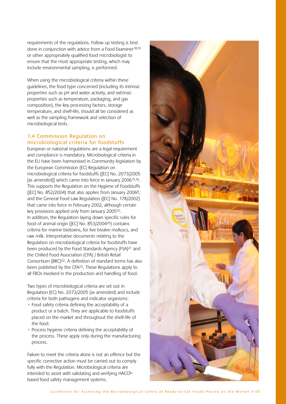requirements of the regulations. Follow up testing is best done in conjunction with advice from a Food Examiner<sup>18,19</sup> or other appropriately qualified food microbiologist to ensure that the most appropriate testing, which may include environmental sampling, is performed.

When using the microbiological criteria within these guidelines, the food type concerned (including its intrinsic properties such as pH and water activity, and extrinsic properties such as temperature, packaging, and gas composition), the key processing factors, storage temperature, and shelf-life, should all be considered as well as the sampling framework and selection of microbiological tests.

#### 1.4 Commission Regulation on microbiological criteria for foodstuffs

European or national regulations are a legal requirement and compliance is mandatory. Microbiological criteria in the EU have been harmonised in Community legislation by the European Commission (EC) Regulation on microbiological criteria for foodstuffs ([EC] No. 2073/2005 [as amended]) which came into force in January 2006<sup>15,16</sup>. This supports the Regulation on the Hygiene of Foodstuffs ([EC] No. 852/2004) that also applies from January 20068, and the General Food Law Regulation ([EC] No. 178/2002) that came into force in February 2002, although certain key provisions applied only from January 200510. In addition, the Regulation laying down specific rules for food of animal origin ([EC] No. 853/200420) contains criteria for marine biotoxins, for live bivalve molluscs, and raw milk. Interpretative documents relating to the Regulation on microbiological criteria for foodstuffs have been produced by the Food Standards Agency (FSA)21 and the Chilled Food Association (CFA) / British Retail Consortium (BRC)22. A definition of standard terms has also been published by the CFA23. These Regulations apply to all FBOs involved in the production and handling of food.

Two types of microbiological criteria are set out in Regulation (EC) No. 2073/2005 (as amended) and include criteria for both pathogens and indicator organisms:

- Food safety criteria defining the acceptability of a product or a batch. They are applicable to foodstuffs placed on the market and throughout the shelf-life of the food.
- Process hygiene criteria defining the acceptability of the process. These apply only during the manufacturing process.

Failure to meet the criteria alone is not an offence but the specific corrective action must be carried out to comply fully with the Regulation. Microbiological criteria are intended to assist with validating and verifying HACCPbased food safety management systems.

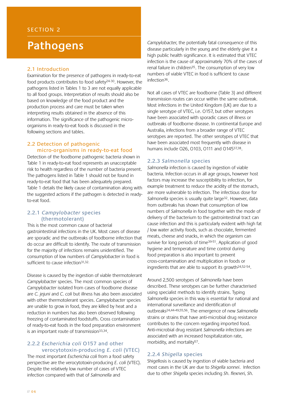#### SECTION 2

# **Pathogens**

#### 2.1 Introduction

Examination for the presence of pathogens in ready-to-eat food products contributes to food safety24-30. However, the pathogens listed in Tables 1 to 3 are not equally applicable to all food groups. Interpretation of results should also be based on knowledge of the food product and the production process and care must be taken when interpreting results obtained in the absence of this information. The significance of the pathogenic microorganisms in ready-to-eat foods is discussed in the following sections and tables.

#### 2.2 Detection of pathogenic micro-organisms in ready-to-eat food

Detection of the foodborne pathogenic bacteria shown in Table 1 in ready-to-eat food represents an unacceptable risk to health regardless of the number of bacteria present. The pathogens listed in Table 1 should not be found in ready-to-eat food that has been adequately prepared. Table 1 details the likely cause of contamination along with the suggested actions if the pathogen is detected in readyto-eat food.

#### 2.2.1 *Campylobacter* species (thermotolerant)

This is the most common cause of bacterial gastrointestinal infections in the UK. Most cases of disease are sporadic and the outbreaks of foodborne infection that do occur are difficult to identify. The route of transmission for the majority of infections remains unidentified. The consumption of low numbers of *Campylobacter* in food is sufficient to cause infection<sup>31,32.</sup>

Disease is caused by the ingestion of viable thermotolerant *Campylobacter* species. The most common species of *Campylobacter* isolated from cases of foodborne disease are *C. jejuni* and *C. coli* but illness has also been associated with other thermotolerant species. *Campylobacter* species are unable to grow in food, they are killed by heat and a reduction in numbers has also been observed following freezing of contaminated foodstuffs. Cross contamination of ready-to-eat foods in the food preparation environment is an important route of transmission<sup>33,34</sup>.

#### 2.2.2 *Escherichia coli* O157 and other verocytotoxin-producing *E. coli* (VTEC)

The most important *Escherichia coli* from a food safety perspective are the verocytotoxin-producing *E. coli* (VTEC). Despite the relatively low number of cases of VTEC infection compared with that of *Salmonella* and

*Campylobacter,* the potentially fatal consequence of this disease particularly in the young and the elderly give it a high public health significance. It is estimated that VTEC infection is the cause of approximately 70% of the cases of renal failure in children<sup>35</sup>. The consumption of very low numbers of viable VTEC in food is sufficient to cause infection36.

Not all cases of VTEC are foodborne (Table 3) and different transmission routes can occur within the same outbreak. Most infections in the United Kingdom (UK) are due to a single serotype of VTEC, i.e. O157, but other serotypes have been associated with sporadic cases of illness or outbreaks of foodborne disease. In continental Europe and Australia, infections from a broader range of VTEC serotypes are reported. The other serotypes of VTEC that have been associated most frequently with disease in humans include O26, O103, O111 and O14537,38.

#### 2.2.3 *Salmonella* species

*Salmonella* infection is caused by ingestion of viable bacteria. Infection occurs in all age groups, however host factors may increase the susceptibility to infection, for example treatment to reduce the acidity of the stomach, are more vulnerable to infection. The infectious dose for *Salmonella* species is usually quite large32. However, data from outbreaks has shown that consumption of low numbers of *Salmonella* in food together with the mode of delivery of the bacterium to the gastrointestinal tract can cause infection and this is particularly evident with high fat / low water activity foods, such as chocolate, fermented meats, cheese and snacks, in which the organism can survive for long periods of time<sup>39-51</sup>. Application of good hygiene and temperature and time control during food preparation is also important to prevent cross-contamination and multiplication in foods or ingredients that are able to support its growth24,52-54.

Around 2,500 serotypes of *Salmonella* have been described. These serotypes can be further characterised using specialist methods to identify strains. Typing *Salmonella* species in this way is essential for national and international surveillance and identification of outbreaks24,44-49,55,56. The emergence of new *Salmonella* strains or strains that have anti-microbial drug resistance contributes to the concern regarding imported food. Anti-microbial drug resistant *Salmonella* infections are associated with an increased hospitalization rate, morbidity, and mortality<sup>57</sup>.

#### 2.2.4 *Shigella* species

Shigellosis is caused by ingestion of viable bacteria and most cases in the UK are due to *Shigella sonnei*. Infection due to other *Shigella* species including *Sh. flexneri, Sh.*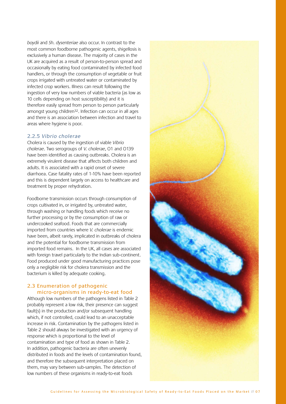*boydii* and *Sh. dysenteriae* also occur. In contrast to the most common foodborne pathogenic agents, shigellosis is exclusively a human disease. The majority of cases in the UK are acquired as a result of person-to-person spread and occasionally by eating food contaminated by infected food handlers, or through the consumption of vegetable or fruit crops irrigated with untreated water or contaminated by infected crop workers. Illness can result following the ingestion of very low numbers of viable bacteria (as low as 10 cells depending on host susceptibility) and it is therefore easily spread from person to person particularly amongst young children<sup>32</sup>. Infection can occur in all ages and there is an association between infection and travel to areas where hygiene is poor.

#### 2.2.5 *Vibrio cholerae*

Cholera is caused by the ingestion of viable *Vibrio cholerae*. Two serogroups of *V. cholerae*, O1 and O139 have been identified as causing outbreaks. Cholera is an extremely virulent disease that affects both children and adults. It is associated with a rapid onset of severe diarrhoea. Case fatality rates of 1-10% have been reported and this is dependent largely on access to healthcare and treatment by proper rehydration.

Foodborne transmission occurs through consumption of crops cultivated in, or irrigated by, untreated water, through washing or handling foods which receive no further processing or by the consumption of raw or undercooked seafood. Foods that are commercially imported from countries where *V. cholerae* is endemic have been, albeit rarely, implicated in outbreaks of cholera and the potential for foodborne transmission from imported food remains. In the UK, all cases are associated with foreign travel particularly to the Indian sub-continent. Food produced under good manufacturing practices pose only a negligible risk for cholera transmission and the bacterium is killed by adequate cooking.

#### 2.3 Enumeration of pathogenic micro-organisms in ready-to-eat food

Although low numbers of the pathogens listed in Table 2 probably represent a low risk, their presence can suggest fault(s) in the production and/or subsequent handling which, if not controlled, could lead to an unacceptable increase in risk. Contamination by the pathogens listed in Table 2 should always be investigated with an urgency of response which is proportional to the level of contamination and type of food as shown in Table 2. In addition, pathogenic bacteria are often unevenly distributed in foods and the levels of contamination found, and therefore the subsequent interpretation placed on them, may vary between sub-samples. The detection of low numbers of these organisms in ready-to-eat foods

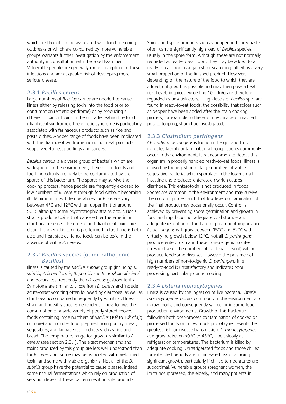which are thought to be associated with food poisoning outbreaks or which are consumed by more vulnerable groups warrants further investigation by the enforcement authority in consultation with the Food Examiner. Vulnerable people are generally more susceptible to these infections and are at greater risk of developing more serious disease.

#### 2.3.1 *Bacillus cereus*

Large numbers of *Bacillus cereus* are needed to cause illness either by releasing toxin into the food prior to consumption (emetic syndrome) or by producing a different toxin or toxins in the gut after eating the food (diarrhoeal syndrome). The emetic syndrome is particularly associated with farinaceous products such as rice and pasta dishes. A wider range of foods have been implicated with the diarrhoeal syndrome including meat products, soups, vegetables, puddings and sauces.

*Bacillus cereus* is a diverse group of bacteria which are widespread in the environment, therefore all foods and food ingredients are likely to be contaminated by the spores of this bacterium. The spores may survive the cooking process, hence people are frequently exposed to low numbers of *B. cereus* through food without becoming ill. Minimum growth temperatures for *B. cereus* vary between 4°C and 12°C with an upper limit of around 50°C although some psychrotrophic strains occur. Not all strains produce toxins that cause either the emetic or diarrhoeal disease. The emetic and diarrhoeal toxins are distinct; the emetic toxin is pre-formed in food and is both acid and heat stable. Hence foods can be toxic in the absence of viable *B. cereus.*

#### 2.3.2 *Bacillus* species (other pathogenic *Bacillus*)

Illness is caused by the *Bacillus subtilis* group (including *B. subtilis*, *B. licheniformis, B. pumilis* and *B. amyloliquifaciens*) and occurs less frequently than *B. cereus* gastroenteritis. Symptoms are similar to those from *B. cereus* and include acute-onset vomiting often followed by diarrhoea, as well as diarrhoea accompanied infrequently by vomiting. Illness is strain and possibly species dependent. Illness follows the consumption of a wide variety of poorly stored cooked foods containing large numbers of *Bacillus* (105 to 109 cfu/g or more) and includes food prepared from poultry, meat, vegetables, and farinaceous products such as rice and bread. The temperature range for growth is similar to *B. cereus* (see section 2.3.1). The exact mechanisms and toxins produced by this group are less well understood than for *B. cereus* but some may be associated with preformed toxin, and some with viable organisms. Not all of the *B. subtilis* group have the potential to cause disease, indeed some natural fermentations which rely on production of very high levels of these bacteria result in safe products.

Spices and spice products such as pepper and curry paste often carry a significantly high load of *Bacillus* species, usually in the spore form. Although these are not normally regarded as ready-to-eat foods they may be added to a ready-to-eat food as a garnish or seasoning, albeit as a very small proportion of the finished product. However, depending on the nature of the food to which they are added, outgrowth is possible and may then pose a health risk. Levels in spices exceeding 106 cfu/g are therefore regarded as unsatisfactory. If high levels of *Bacillus* spp. are found in ready-to-eat foods, the possibility that spices such as pepper have been added after the main cooking process, for example to the egg mayonnaise or mashed potato topping, should be investigated.

#### 2.3.3 *Clostridium perfringens*

*Clostridium perfringens* is found in the gut and thus indicates faecal contamination although spores commonly occur in the environment. It is uncommon to detect this organism in properly handled ready-to-eat foods. Illness is caused by the ingestion of large numbers of viable vegetative bacteria, which sporulate in the lower small intestine and produces enterotoxin which causes diarrhoea. This enterotoxin is not produced in foods. Spores are common in the environment and may survive the cooking process such that low level contamination of the final product may occasionally occur. Control is achieved by preventing spore germination and growth in food and rapid cooling, adequate cold storage and adequate reheating of food are of paramount importance. *C. perfringens* will grow between 15°C and 52°C with virtually no growth below 12°C. Not all *C. perfringens* produce enterotoxin and these non-toxigenic isolates (irrespective of the numbers of bacteria present) will not produce foodborne disease. However the presence of high numbers of non-toxigenic *C. perfringens* in a ready-to-food is unsatisfactory and indicates poor processing, particularly during cooling.

#### 2.3.4 *Listeria monocytogenes*

Illness is caused by the ingestion of live bacteria. *Listeria monocytogenes* occurs commonly in the environment and in raw foods, and consequently will occur in some food production environments. Growth of this bacterium following both post-process contamination of cooked or processed foods or in raw foods probably represents the greatest risk for disease transmission. *L. monocytogenes* can grow between <0°C to 45°C, albeit slowly at refrigeration temperatures. The bacterium is killed by adequate cooking. Unrefrigerated foods and those chilled for extended periods are at increased risk of allowing significant growth, particularly if chilled temperatures are suboptimal. Vulnerable groups (pregnant women, the immunosuppressed, the elderly, and many patients in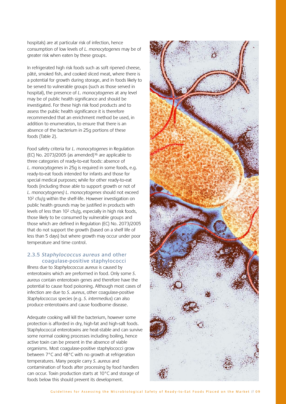hospitals) are at particular risk of infection, hence consumption of low levels of *L. monocytogenes* may be of greater risk when eaten by these groups.

In refrigerated high risk foods such as soft ripened cheese, pâté, smoked fish, and cooked sliced meat, where there is a potential for growth during storage, and in foods likely to be served to vulnerable groups (such as those served in hospital), the presence of *L. monocytogenes* at any level may be of public health significance and should be investigated. For these high risk food products and to assess the public health significance it is therefore recommended that an enrichment method be used, in addition to enumeration, to ensure that there is an absence of the bacterium in 25g portions of these foods (Table 2).

Food safety criteria for *L. monocytogenes* in Regulation (EC) No. 2073/2005 (as amended)16 are applicable to three categories of ready-to-eat foods: absence of *L. monocytogenes* in 25g is required in some foods, e.g. ready-to-eat foods intended for infants and those for special medical purposes; while for other ready-to-eat foods (including those able to support growth or not of *L. monocytogenes) L. monocytogenes* should not exceed 102 cfu/g within the shelf-life. However investigation on public health grounds may be justified in products with levels of less than 102 cfu/g, especially in high risk foods, those likely to be consumed by vulnerable groups and those which are defined in Regulation (EC) No. 2073/2005 that do not support the growth (based on a shelf life of less than 5 days) but where growth may occur under poor temperature and time control.

#### 2.3.5 *Staphylococcus aureus* and other coagulase-positive staphylococci

Illness due to *Staphylococcus aureus* is caused by enterotoxins which are preformed in food. Only some *S. aureus* contain enterotoxin genes and therefore have the potential to cause food poisoning. Although most cases of infection are due to *S. aureus*, other coagulase-positive *Staphylococcus* species (e.g. *S. intermedius*) can also produce enterotoxins and cause foodborne disease.

Adequate cooking will kill the bacterium, however some protection is afforded in dry, high-fat and high-salt foods. Staphylococcal enterotoxins are heat-stable and can survive some normal cooking processes including boiling, hence active toxin can be present in the absence of viable organisms. Most coagulase-positive staphylococci grow between 7°C and 48°C with no growth at refrigeration temperatures. Many people carry *S. aureus* and contamination of foods after processing by food handlers can occur. Toxin production starts at 10°C and storage of foods below this should prevent its development.

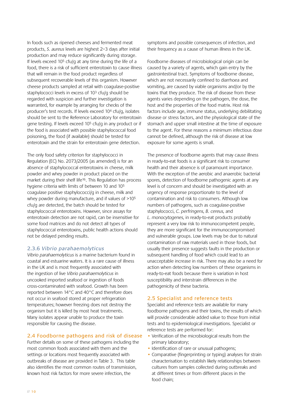In foods such as ripened cheeses and fermented meat products, *S. aureus* levels are highest 2–3 days after initial production and may reduce significantly during storage. If levels exceed 105 cfu/g at any time during the life of a food, there is a risk of sufficient enterotoxin to cause illness that will remain in the food product regardless of subsequent recoverable levels of this organism. However cheese products sampled at retail with coagulase-positive staphylococci levels in excess of 10<sup>3</sup> cfu/g should be regarded with suspicion and further investigation is warranted, for example by arranging for checks of the producer's test records. If levels exceed 104 cfu/g, isolates should be sent to the Reference Laboratory for enterotoxin gene testing. If levels exceed 105 cfu/g in any product or if the food is associated with possible staphylococcal food poisoning, the food (if available) should be tested for enterotoxin and the strain for enterotoxin gene detection.

The only food safety criterion for staphylococci in Regulation (EC) No. 2073/2005 (as amended) is for an absence of staphylococcal enterotoxins in cheese, milk powder and whey powder in product placed on the market during their shelf life16. This Regulation has process hygiene criteria with limits of between 10 and 105 coagulase positive staphylococci/g in cheese, milk and whey powder during manufacture, and if values of >105 cfu/g are detected, the batch should be tested for staphylococcal enterotoxins. However, since assays for enterotoxin detection are not rapid, can be insensitive for some food matrices and do not detect all types of staphylococcal enterotoxins, public health actions should not be delayed pending results.

#### 2.3.6 *Vibrio parahaemolyticus*

*Vibrio parahaemolyticus* is a marine bacterium found in coastal and estuarine waters. It is a rare cause of illness in the UK and is most frequently associated with the ingestion of live *Vibrio parahaemolyticus* in uncooked imported seafood or ingestion of foods cross-contaminated with seafood. Growth has been reported between 14°C and 40°C and therefore does not occur in seafood stored at proper refrigeration temperatures; however freezing does not destroy the organism but it is killed by most heat treatments. Many isolates appear unable to produce the toxin responsible for causing the disease.

#### 2.4 Foodborne pathogens and risk of disease

Further details on some of these pathogens including the most common foods associated with them and the settings or locations most frequently associated with outbreaks of disease are provided in Table 3. This table also identifies the most common routes of transmission, known host risk factors for more severe infection, the

symptoms and possible consequences of infection, and their frequency as a cause of human illness in the UK.

Foodborne diseases of microbiological origin can be caused by a variety of agents, which gain entry by the gastrointestinal tract. Symptoms of foodborne disease, which are not necessarily confined to diarrhoea and vomiting, are caused by viable organisms and/or by the toxins that they produce. The risk of disease from these agents varies depending on the pathogen, the dose, the host and the properties of the food matrix. Host risk factors include age, immune status, underlying debilitating disease or stress factors, and the physiological state of the stomach and upper small intestine at the time of exposure to the agent. For these reasons a minimum infectious dose cannot be defined, although the risk of disease at low exposure for some agents is small.

The presence of foodborne agents that may cause illness in ready-to-eat foods is a significant risk to consumer health and their absence is of paramount importance. With the exception of the aerobic and anaerobic bacterial spores, detection of foodborne pathogenic agents at any level is of concern and should be investigated with an urgency of response proportionate to the level of contamination and risk to consumers. Although low numbers of pathogens, such as coagulase-positive staphylococci, *C. perfringens, B. cereus,* and *L. monocytogenes,* in ready-to-eat products probably represent a very low risk to immunocompetent people, they are more significant for the immunocompromised and vulnerable groups. Low levels may be due to natural contamination of raw materials used in those foods, but usually their presence suggests faults in the production or subsequent handling of food which could lead to an unacceptable increase in risk. There may also be a need for action when detecting low numbers of these organisms in ready-to-eat foods because there is variation in host susceptibility and interstrain differences in the pathogenicity of these bacteria.

#### 2.5 Specialist and reference tests

Specialist and reference tests are available for many foodborne pathogens and their toxins, the results of which will provide considerable added value to those from initial tests and to epidemiological investigations. Specialist or reference tests are performed for:

- Verification of the microbiological results from the primary laboratory;
- Identification of rare or unusual pathogens;
- Comparative (fingerprinting or typing) analyses for strain characterisation to establish likely relationships between cultures from samples collected during outbreaks and at different times or from different places in the food chain;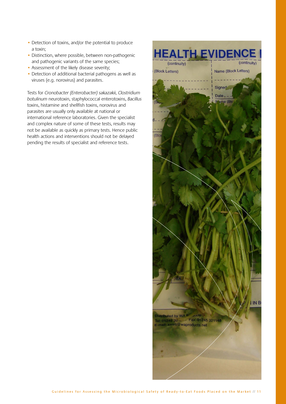- Detection of toxins, and/or the potential to produce a toxin;
- Distinction, where possible, between non-pathogenic and pathogenic variants of the same species;
- Assessment of the likely disease severity;
- Detection of additional bacterial pathogens as well as viruses (e.g. norovirus) and parasites.

Tests for *Cronobacter (Enterobacter) sakazakii, Clostridium botulinum* neurotoxin, staphylococcal enterotoxins, *Bacillus* toxins, histamine and shellfish toxins, norovirus and parasites are usually only available at national or international reference laboratories. Given the specialist and complex nature of some of these tests, results may not be available as quickly as primary tests. Hence public health actions and interventions should not be delayed pending the results of specialist and reference tests.

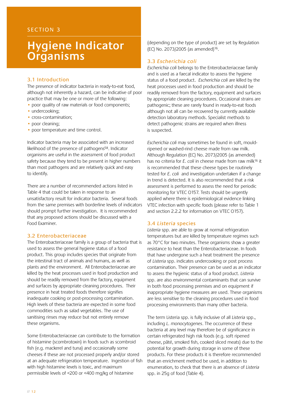#### SECTION 3

# **Hygiene Indicator Organisms**

#### 3.1 Introduction

The presence of indicator bacteria in ready-to-eat food, although not inherently a hazard, can be indicative of poor practice that may be one or more of the following:

- poor quality of raw materials or food components;
- undercooking;
- cross-contamination;
- poor cleaning;
- poor temperature and time control.

Indicator bacteria may be associated with an increased likelihood of the presence of pathogens58. Indicator organisms are useful in the assessment of food product safety because they tend to be present in higher numbers than most pathogens and are relatively quick and easy to identify.

There are a number of recommended actions listed in Table 4 that could be taken in response to an unsatisfactory result for indicator bacteria. Several foods from the same premises with borderline levels of indicators should prompt further investigation. It is recommended that any proposed actions should be discussed with a Food Examiner.

#### 3.2 Enterobacteriaceae

The Enterobacteriaceae family is a group of bacteria that is used to assess the general hygiene status of a food product. This group includes species that originate from the intestinal tract of animals and humans, as well as plants and the environment. All Enterobacteriaceae are killed by the heat processes used in food production and should be readily removed from the factory, equipment and surfaces by appropriate cleaning procedures. Their presence in heat treated foods therefore signifies inadequate cooking or post-processing contamination. High levels of these bacteria are expected in some food commodities such as salad vegetables. The use of sanitising rinses may reduce but not entirely remove these organisms.

Some Enterobacteriaceae can contribute to the formation of histamine (scombrotoxin) in foods such as scombroid fish (e.g. mackerel and tuna) and occasionally some cheeses if these are not processed properly and/or stored at an adequate refrigeration temperature. Ingestion of fish with high histamine levels is toxic, and maximum permissible levels of <200 or <400 mg/kg of histamine

(depending on the type of product) are set by Regulation (EC) No. 2073/2005 (as amended)16.

#### 3.3 *Escherichia coli*

*Escherichia coli* belongs to the Enterobacteriaceae family and is used as a faecal indicator to assess the hygiene status of a food product. *Escherichia coli* are killed by the heat processes used in food production and should be readily removed from the factory, equipment and surfaces by appropriate cleaning procedures. Occasional strains are pathogenic; these are rarely found in ready-to-eat foods although not all can be recovered by currently available detection laboratory methods. Specialist methods to detect pathogenic strains are required when illness is suspected.

*Escherichia coli* may sometimes be found in soft, mouldripened or washed-rind cheese made from raw milk. Although Regulation (EC) No. 2073/2005 (as amended) has no criteria for *E. coli* in cheese made from raw milk16 it is recommended that these cheese types be routinely tested for *E. coli* and investigation undertaken if a change in trend is detected. It is also recommended that a risk assessment is performed to assess the need for periodic monitoring for VTEC O157. Tests should be urgently applied where there is epidemiological evidence linking VTEC infection with specific foods (please refer to Table 1 and section 2.2.2 for information on VTEC O157).

#### 3.4 *Listeria* species

*Listeria* spp. are able to grow at normal refrigeration temperatures but are killed by temperature regimes such as 70°C for two minutes. These organisms show a greater resistance to heat than the Enterobacteriaceae. In foods that have undergone such a heat treatment the presence of *Listeria* spp. indicates undercooking or post process contamination. Their presence can be used as an indicator to assess the hygienic status of a food product. *Listeria* spp. are also environmental contaminants that can survive in both food processing premises and on equipment if inappropriate hygiene measures are used. These organisms are less sensitive to the cleaning procedures used in food processing environments than many other bacteria.

The term Listeria spp. is fully inclusive of all *Listeria* spp., including *L. monocytogenes*. The occurrence of these bacteria at any level may therefore be of significance in certain refrigerated high risk foods (e.g. soft ripened cheese, pâté, smoked fish, cooked sliced meats) due to the potential for growth during storage in some of these products. For these products it is therefore recommended that an enrichment method be used, in addition to enumeration, to check that there is an absence of *Listeria* spp. in 25g of food (Table 4).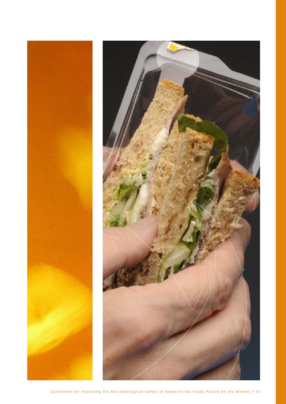

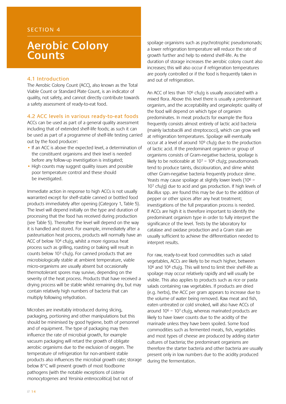#### SECTION 4

# **Aerobic Colony Counts**

#### 4.1 Introduction

The Aerobic Colony Count (ACC), also known as the Total Viable Count or Standard Plate Count, is an indicator of quality, not safety, and cannot directly contribute towards a safety assessment of ready-to-eat food.

#### 4.2 ACC levels in various ready-to-eat foods

ACCs can be used as part of a general quality assessment including that of extended shelf-life foods; as such it can be used as part of a programme of shelf-life testing carried out by the food producer:

- If an ACC is above the expected level, a determination of the constituent organisms and their level is needed before any follow-up investigation is instigated;
- High counts may suggest quality issues and possible poor temperature control and these should be investigated.

Immediate action in response to high ACCs is not usually warranted except for shelf-stable canned or bottled food products immediately after opening (Category 1, Table 5). The level will depend initially on the type and duration of processing that the food has received during production (see Table 5). Thereafter the level will depend on the way it is handled and stored. For example, immediately after a pasteurisation heat process, products will normally have an ACC of below 10<sup>4</sup> cfu/g, whilst a more rigorous heat process such as grilling, roasting or baking will result in counts below 103 cfu/g. For canned products that are microbiologically stable at ambient temperature, viable micro-organisms are usually absent but occasionally thermotolerant spores may survive, depending on the severity of the heat process. Products that have received a drying process will be stable whilst remaining dry, but may contain relatively high numbers of bacteria that can multiply following rehydration.

Microbes are inevitably introduced during slicing, packaging, portioning and other manipulations but this should be minimised by good hygiene, both of personnel and of equipment. The type of packaging may then influence the rate of microbial growth, for example vacuum packaging will retard the growth of obligate aerobic organisms due to the exclusion of oxygen. The temperature of refrigeration for non-ambient stable products also influences the microbial growth rate; storage below 8°C will prevent growth of most foodborne pathogens (with the notable exceptions of *Listeria monocytogenes* and *Yersinia enterocolitica*) but not of

spoilage organisms such as psychrotrophic pseudomonads; a lower refrigeration temperature will reduce the rate of growth further and help to extend shelf-life. As the duration of storage increases the aerobic colony count also increases; this will also occur if refrigeration temperatures are poorly controlled or if the food is frequently taken in and out of refrigeration.

An ACC of less than  $10^6$  cfu/g is usually associated with a mixed flora. Above this level there is usually a predominant organism, and the acceptability and organoleptic quality of the food will depend on which type of organism predominates. In meat products for example the flora frequently consists almost entirely of lactic acid bacteria (mainly lactobacilli and streptococci), which can grow well at refrigeration temperatures. Spoilage will eventually occur at a level of around 109 cfu/g due to the production of lactic acid. If the predominant organism or group of organisms consists of Gram-negative bacteria, spoilage is likely to be noticeable at  $10^7$  –  $10^8$  cfu/g; pseudomonads tend to produce taints, discolouration, and slime whilst other Gram-negative bacteria frequently produce slime. Yeasts may cause spoilage at slightly lower levels (10<sup>6</sup> –  $10<sup>7</sup>$  cfu/g) due to acid and gas production. If high levels of *Bacillus* spp. are found this may be due to the addition of pepper or other spices after any heat treatment; investigations of the full preparation process is needed. If ACCs are high it is therefore important to identify the predominant organism type in order to fully interpret the significance of the level. Tests by the laboratory for catalase and oxidase production and a Gram stain are usually sufficient to achieve the differentiation needed to interpret results.

For raw, ready-to-eat food commodities such as salad vegetables, ACCs are likely to be much higher, between 106 and 108 cfu/g. This will tend to limit their shelf-life as spoilage may occur relatively rapidly and will usually be visible. This also applies to products such as rice or pasta salads containing raw vegetables. If products are dried (e.g. herbs), the ACC per gram appears to increase due to the volume of water being removed. Raw meat and fish, eaten untreated or cold smoked, will also have ACCs of around  $10^6$  –  $10^7$  cfu/g, whereas marinated products are likely to have lower counts due to the acidity of the marinade unless they have been spoiled. Some food commodities such as fermented meats, fish, vegetables and most types of cheese are produced by adding starter cultures of bacteria; the predominant organisms are therefore the starter bacteria and other bacteria are usually present only in low numbers due to the acidity produced during the fermentation.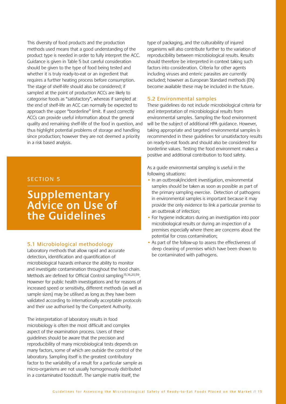This diversity of food products and the production methods used means that a good understanding of the product type is needed in order to fully interpret the ACC. Guidance is given in Table 5 but careful consideration should be given to the type of food being tested and whether it is truly ready-to-eat or an ingredient that requires a further heating process before consumption. The stage of shelf-life should also be considered; if sampled at the point of production ACCs are likely to categorise foods as "satisfactory", whereas if sampled at the end of shelf-life an ACC can normally be expected to approach the upper "borderline" limit. If used correctly ACCs can provide useful information about the general quality and remaining shelf-life of the food in question, and thus highlight potential problems of storage and handling since production; however they are not deemed a priority in a risk based analysis.

#### SECTION 5

## **Supplementary Advice on Use of the Guidelines**

#### 5.1 Microbiological methodology

Laboratory methods that allow rapid and accurate detection, identification and quantification of microbiological hazards enhance the ability to monitor and investigate contamination throughout the food chain. Methods are defined for Official Control sampling15,16,20,59. However for public health investigations and for reasons of increased speed or sensitivity, different methods (as well as sample sizes) may be utilised as long as they have been validated according to internationally acceptable protocols and their use authorised by the Competent Authority.

The interpretation of laboratory results in food microbiology is often the most difficult and complex aspect of the examination process. Users of these guidelines should be aware that the precision and reproducibility of many microbiological tests depends on many factors, some of which are outside the control of the laboratory. Sampling itself is the greatest contributory factor to the variability of a result for a particular sample as micro-organisms are not usually homogenously distributed in a contaminated foodstuff. The sample matrix itself, the

type of packaging, and the culturability of injured organisms will also contribute further to the variation of reproducibility between microbiological results. Results should therefore be interpreted in context taking such factors into consideration. Criteria for other agents including viruses and enteric parasites are currently excluded; however as European Standard methods (EN) become available these may be included in the future.

#### 5.2 Environmental samples

These guidelines do not include microbiological criteria for and interpretation of microbiological results from environmental samples. Sampling the food environment will be the subject of additional HPA guidance. However, taking appropriate and targeted environmental samples is recommended in these guidelines for unsatisfactory results on ready-to-eat foods and should also be considered for borderline values. Testing the food environment makes a positive and additional contribution to food safety.

As a guide environmental sampling is useful in the following situations:

- In an outbreak/incident investigation, environmental samples should be taken as soon as possible as part of the primary sampling exercise. Detection of pathogens in environmental samples is important because it may provide the only evidence to link a particular premise to an outbreak of infection;
- For hygiene indicators during an investigation into poor microbiological results or during an inspection of a premises especially where there are concerns about the potential for cross contamination;
- As part of the follow-up to assess the effectiveness of deep cleaning of premises which have been shown to be contaminated with pathogens.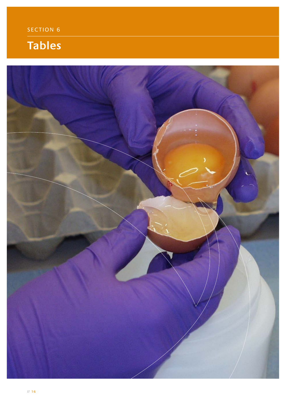### SECTION 6



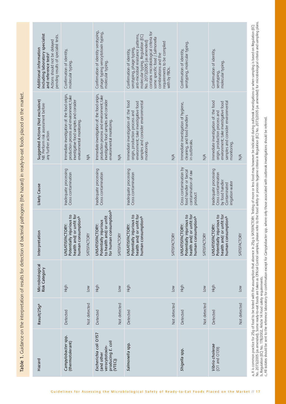| including laboratory specialist<br>pending results of specialist tests.<br>Actions should not be delayed<br>Additional information<br>and reference tests <sup>c</sup> | Confirmation of identity,<br>molecular typing.                                                                                                                                    | Confirmation of identity serotyping,<br>phage typing verocytotoxin typing,<br>molecular typing.                                                                                   | contains microbiological criteria for<br>anti-microbial resistance patterns,<br>molecular typing. Regulation (EC)<br>some specific food / Salmonella<br>No. 2073/2005 (as amended)<br>requirements to be complied<br>serotyping, phage typing,<br>Confirmation of identity,<br>combinations and the<br>with by FBOs. | serotyping, molecular typing.<br>Confirmation of identity,                                                    | Confirmation of identity,<br>molecular typing<br>serotyping,                                                                                                                         |
|------------------------------------------------------------------------------------------------------------------------------------------------------------------------|-----------------------------------------------------------------------------------------------------------------------------------------------------------------------------------|-----------------------------------------------------------------------------------------------------------------------------------------------------------------------------------|----------------------------------------------------------------------------------------------------------------------------------------------------------------------------------------------------------------------------------------------------------------------------------------------------------------------|---------------------------------------------------------------------------------------------------------------|--------------------------------------------------------------------------------------------------------------------------------------------------------------------------------------|
| Suggested Actions (Not exclusive)<br>NB: Perform risk assessment before<br>any further action                                                                          | Immediate investigation of: the food origin,<br>production process and environment; take<br>investigative food samples and consider<br>environmental monitoring.<br>$\frac{1}{2}$ | Immediate investigation of: the food origin,<br>production process and environment; take<br>investigative food samples and consider<br>environmental monitoring.<br>$M \triangle$ | Immediate investigation of: the food<br>samples and consider environmental<br>environment; take investigative food<br>origin, production process and<br>monitoring.<br>$\frac{1}{N}$                                                                                                                                 | Immediate investigation of hygiene,<br>cleaning, and food handlers<br>in outbreaks.<br>N/A                    | Immediate investigation of: the food<br>environment; take investigative food<br>samples and consider environmental<br>origin, production process and<br>monitoring.<br>$\frac{1}{N}$ |
| Likely Cause                                                                                                                                                           | Inadequate processing<br>Cross contamination                                                                                                                                      | Inadequate processing<br>Cross contamination                                                                                                                                      | Inadequate processing<br>Cross contamination                                                                                                                                                                                                                                                                         | Cross contamination by<br>food handler or faecal<br>contamination of raw<br>product                           | Inadequate processing<br>Cross contamination<br>by food handler<br>irrigation water<br>Contaminated                                                                                  |
| Interpretation                                                                                                                                                         | health and/ or unfit for<br>Potentially injurious to<br>human consumptionb<br>UNSATISFACTORY:<br>SATISFACTORY                                                                     | consumptionb<br>to health and/ or unfit<br>Potentially injurious<br>CTORY:<br><b>SATISFACTORY</b><br><b>JNSATISFA</b><br>for human                                                | health and/ or unfit for<br>Potentially injurious to<br>human consumptionb<br>UNSATISFACTORY:<br>SATISFACTORY                                                                                                                                                                                                        | health and/ or unfit for<br>Potentially injurious to<br>human consumptionb<br>UNSATISFACTORY:<br>SATISFACTORY | health and/ or unfit for<br>Potentially injurious to<br>human consumptionb<br>UNSATISFACTORY:<br><b>SATISFACTORY</b>                                                                 |
| Microbiological<br>Risk Category                                                                                                                                       | High<br>LOW                                                                                                                                                                       | High<br>Low                                                                                                                                                                       | High<br>Low                                                                                                                                                                                                                                                                                                          | High<br>$\overline{\text{Cov}}$                                                                               | High<br><b>NOT</b>                                                                                                                                                                   |
| Result/25g <sup>a</sup>                                                                                                                                                | Not detected<br>Detected                                                                                                                                                          | Not detected<br>Detected                                                                                                                                                          | Not detected<br>Detected                                                                                                                                                                                                                                                                                             | Not detected<br><b>Detected</b>                                                                               | Not detected<br>Detected                                                                                                                                                             |
| Hazard                                                                                                                                                                 | Campylobacter spp.<br>(thermotolerant)                                                                                                                                            | Escherichia coli O157<br>producing E. coli<br>verocytotoxin-<br>and other<br>(VTEC)                                                                                               | Salmonella spp.                                                                                                                                                                                                                                                                                                      | Shigella spp.                                                                                                 | Vibrio cholerae<br>$(O1$ and $O139)$                                                                                                                                                 |

Table 1. Guidance on the interpretation of results for detection of bacterial pathogens (the hazard) in ready-to-eat foods placed on the market.

Table 1. Guidance on the interpretation of results for detection of bacterial pathogens (the hazard) in ready-to-eat foods placed on the market.

a, it is common practice for 25g of food to be tested with the assumption that absence in 25g is SATISFACTORY. Testing of more or less food may however be indicated during outbreak investigations or when sampling is based No. 2073/2005 (as amended). Some ready-to-eat foods are taken as Official Control samples, please refer to the food safety or process hygiene criteria in Requlation (EC) No. 2073/2005 (as amended) for microbiological crite a, it is common practice for 25q of food to be tested with the assumption that absence in 25q is SATISFACTORY. Testing of more or less food may however be indicated during outbreak investigations or when sampling is based b, Regulation (EC) No. 178/2002, Article 14 Food safety requirements.

c, All isolates should be sent to the reference laboratory for confirmation except for *Campylobacter* spp. where only those associated with outbreak investigations should be referred.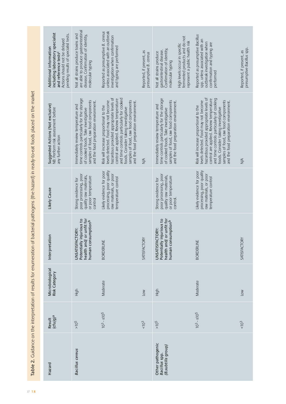| including laboratory specialist<br>pending results of specialist tests.<br>Actions should not be delayed<br>Additional information<br>and reference tests <sup>c</sup> | are able to produce gastrointestinal<br>Not all strains produce toxins and<br>disease, Confirmation of identity,<br>molecular typing                                                                     | Reported as presumptive B. cereus<br>unless associated with an outbreak<br>investigation when confirmation<br>and typing are performed                                                                                                                                                                                                      | Reported, if present, as<br>presumptive B. cereus | fermented products and do not<br>High levels occur in specific<br>Confirmation of identity,<br>gastrointestinal disease.<br>Not all strains produce<br>molecular typing                                  | Reported as presumptive Bacillus<br>spp. unless associated with an<br>represent a public health risk | outbreak investigation when<br>confirmation and typing are<br>performed                                                                                                                                                                                   | presumptive Bacillus spp.<br>Reported, if present, as |
|------------------------------------------------------------------------------------------------------------------------------------------------------------------------|----------------------------------------------------------------------------------------------------------------------------------------------------------------------------------------------------------|---------------------------------------------------------------------------------------------------------------------------------------------------------------------------------------------------------------------------------------------------------------------------------------------------------------------------------------------|---------------------------------------------------|----------------------------------------------------------------------------------------------------------------------------------------------------------------------------------------------------------|------------------------------------------------------------------------------------------------------|-----------------------------------------------------------------------------------------------------------------------------------------------------------------------------------------------------------------------------------------------------------|-------------------------------------------------------|
| Suggested Actions (Not exclusive)<br>NB: Perform risk assessment before<br>any further action                                                                          | time controls particularly for the storage<br>samples of food, raw food components<br>and the food preparation environment.<br>Immediately review temperature and<br>of cooked foods. Take investigative | hazardous provided appropriate levels of<br>and time controls particularly for cooked<br>control are applied. Review temperature<br>levels detected. Food may not become<br>samples of food, raw food components<br>and the food preparation environment.<br>Risk will increase proportional to the<br>foods. Consider taking investigative | N/A                                               | time controls particularly for the storage<br>samples of food, raw food components<br>and the food preparation environment.<br>Immediately review temperature and<br>of cooked foods. Take investigative | evels detected. Food may not become<br>Risk will increase proportional to the                        | hazardous provided appropriate levels of<br>and time controls particularly of cooking<br>control are applied. Review temperature<br>samples of food, raw food components<br>and the food preparation environment.<br>foods. Consider taking investigative | $\frac{1}{2}$                                         |
| Likely Cause                                                                                                                                                           | poor processing, poor<br>quality raw materials,<br>or poor temperature<br>Strong evidence for<br>control                                                                                                 | processing, poor quality<br>Likely evidence for poor<br>raw materials, or poor<br>temperature control                                                                                                                                                                                                                                       |                                                   | poor processing, poor<br>quality raw materials,<br>or poor temperature<br>Strong evidence for<br>control.                                                                                                | processing, poor quality<br>Likely evidence for poor                                                 | raw materials, or poor<br>temperature control                                                                                                                                                                                                             |                                                       |
| Interpretation                                                                                                                                                         | health and/or unfit for<br>y injurious to<br>human consumptionb<br>UNSATISFACTORY:<br>Potentiall                                                                                                         | <b>BORDERLINE</b>                                                                                                                                                                                                                                                                                                                           | SATISFACTORY                                      | y injurious to<br>health and/ or unfit for<br>human consumptionb<br>UNSATISFACTORY:<br>Potentiall                                                                                                        | <b>BORDERLINE</b>                                                                                    |                                                                                                                                                                                                                                                           | <b>SATISFACTORY</b>                                   |
| Microbiological<br>Risk Category                                                                                                                                       | High                                                                                                                                                                                                     | Moderate                                                                                                                                                                                                                                                                                                                                    | Low                                               | High                                                                                                                                                                                                     | Moderate                                                                                             |                                                                                                                                                                                                                                                           | Low                                                   |
| $(ctu/g)^a$<br>Result                                                                                                                                                  | >10 <sup>5</sup>                                                                                                                                                                                         | $10^{3} - 510^{5}$                                                                                                                                                                                                                                                                                                                          | $10^{3}$                                          | >10 <sup>5</sup>                                                                                                                                                                                         | $10^3 - 510^5$                                                                                       |                                                                                                                                                                                                                                                           | 501                                                   |
| Hazard                                                                                                                                                                 | <b>Bacillus</b> cereus                                                                                                                                                                                   |                                                                                                                                                                                                                                                                                                                                             |                                                   | Other pathogenic<br>(B.subtilis group)<br>Bacillus spp.                                                                                                                                                  |                                                                                                      |                                                                                                                                                                                                                                                           |                                                       |

Table 2. Guidance on the interpretation of results for enumeration of bacterial pathogens (the hazard) in ready-to-eat foods placed on the market Table 2. Guidance on the interpretation of results for enumeration of bacterial pathogens (the hazard) in ready-to-eat foods placed on the market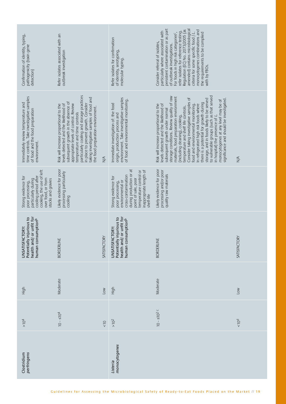| $10 - 5104$<br>>104 | Moderate<br>High | or unfit for<br>Potentially injurious to<br>human consumptionb<br>JNSATISFACTORY:<br>health and<br><b>BORDERLINE</b> | Likely evidence for poor<br>cooking, the use of left<br>cooling period after<br>Strong evidence for<br>over food, or from<br>particularly during<br>stocks and gravies<br>poor processing,              | time controls. Take investigative samples<br>mmediately review temperature and<br>Risk will increase proportional to the<br>levels detected and the likelihood of<br>of food and the food preparation<br>environment.                                                                                                                                                                                                                                                                                                                                                                                                                                                       | Refer isolates associated with an<br>Confirmation of identity, typing,<br>pathogenicity (toxin gene<br>detection)                                                                                                                                                                                                                                                                                                                               |
|---------------------|------------------|----------------------------------------------------------------------------------------------------------------------|---------------------------------------------------------------------------------------------------------------------------------------------------------------------------------------------------------|-----------------------------------------------------------------------------------------------------------------------------------------------------------------------------------------------------------------------------------------------------------------------------------------------------------------------------------------------------------------------------------------------------------------------------------------------------------------------------------------------------------------------------------------------------------------------------------------------------------------------------------------------------------------------------|-------------------------------------------------------------------------------------------------------------------------------------------------------------------------------------------------------------------------------------------------------------------------------------------------------------------------------------------------------------------------------------------------------------------------------------------------|
| $rac{1}{\sqrt{2}}$  | Low              | <b>SATISFACTORY</b>                                                                                                  | processing particularly<br>cooling                                                                                                                                                                      | particularly cooling and storage practices<br>taking investigative samples of food and<br>subsequent growth in the absence of<br>in place to prevent growth. Consider<br>appropriate levels of control. Review<br>the food preparation environment.<br>temperature and time controls<br>$\frac{1}{N}$                                                                                                                                                                                                                                                                                                                                                                       | outbreak investigation                                                                                                                                                                                                                                                                                                                                                                                                                          |
| $>102$              | High             | health and/ or unfit for<br>Potentially injurious to<br>human consumptionb<br>UNSATISFACTORY:                        | during production or at<br>inappropriate length of<br>temperature control or<br>cross-contamination<br>Strong evidence for<br>point of sale, poor<br>environmental or<br>poor processing,<br>shelf-life | environment. Take investigative samples<br>of food and environmental monitoring.<br>Immediate investigation of: the food<br>origin, production process and                                                                                                                                                                                                                                                                                                                                                                                                                                                                                                                  | Refer isolates for confirmation<br>of identity, serotyping,<br>molecular typing.                                                                                                                                                                                                                                                                                                                                                                |
| $10 - 502$          | Moderate         | <b>BORDERLINE</b>                                                                                                    | Likely evidence for poor<br>processing and/or poor<br>quality raw materials                                                                                                                             | to vulnerable groups (such as that served<br>storage conditions. Review quality of raw<br>materials, food preparation environment<br>৳<br>storage, and in foods likely to be served<br>significance and should be investigated.<br>monocytogenes at any level may be of<br>Consider taking investigative samples<br>there is a potential for growth during<br>food and environmental monitoring.<br>In refrigerated high risk foods where<br>Risk will increase proportional to the<br>levels detected and the likelihood of<br>temperature and shelf life controls.<br>subsequent growth under normal<br>in hospital) the presence of L.<br>(including cleaning), cooking, | persistent contamination or as part<br>amended) contains microbiological<br>Regulation (EC) No. 2073/2005 (as<br>monocytogenes combinations and<br>refer isolates for reference testing.<br>particularly where associated with<br>criteria for some specific food / L.<br>For foods in high risk categories <sup>c</sup> ,<br>the requirements to be complied<br>Consider referral of isolates,<br>of outbreak investigations.<br>with by FBOs. |
| 10 <sub>d</sub>     | Low              | SATISFACTORY                                                                                                         |                                                                                                                                                                                                         | $\frac{1}{2}$                                                                                                                                                                                                                                                                                                                                                                                                                                                                                                                                                                                                                                                               |                                                                                                                                                                                                                                                                                                                                                                                                                                                 |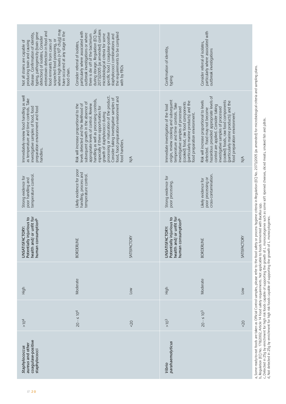| where high levels (>10 <sup>5</sup> cfu/g) may<br>enterotoxin detection in food and<br>have occurred at any stage in the<br>typing, pathogenicity (toxin gene<br>disease. Confirmation of identity,<br>detection) of isolates, Consider<br>suspected food poisoning, or<br>food remnants from cases of<br>producing toxin and causing<br>Not all strains are capable of<br>food chain. | during storage. Regulation (EC) No.<br>2073/2005 (as amended) contains<br>particularly where associated with<br>specific food / coagulase-positive<br>the requirements to be complied<br>outbreak investigations or where<br>microbiological criteria for some<br>there is die off of the bacterium<br>staphylococci combinations and<br>Consider referral of isolates,<br>with by FBOs                                                    |                            | Confirmation of identity,<br>buidh                                                                                                                                                                                                                                       | particularly where associated with<br>Consider referral of isolates,<br>outbreak investigations                                                                                                                                                                                                                     |                                                                                                                                                                                                                                           |
|----------------------------------------------------------------------------------------------------------------------------------------------------------------------------------------------------------------------------------------------------------------------------------------------------------------------------------------------------------------------------------------|--------------------------------------------------------------------------------------------------------------------------------------------------------------------------------------------------------------------------------------------------------------------------------------------------------------------------------------------------------------------------------------------------------------------------------------------|----------------------------|--------------------------------------------------------------------------------------------------------------------------------------------------------------------------------------------------------------------------------------------------------------------------|---------------------------------------------------------------------------------------------------------------------------------------------------------------------------------------------------------------------------------------------------------------------------------------------------------------------|-------------------------------------------------------------------------------------------------------------------------------------------------------------------------------------------------------------------------------------------|
| mmediately review food handling as well<br>as temperature and time controls. Take<br>investigative samples of food, food<br>preparation environment and food<br>nandlers.                                                                                                                                                                                                              | processing or maturation of the product.<br>food, food preparation environment and<br>Consider taking investigative samples of<br>handling as well as processing controls,<br>subsequent growth in the absence of<br>appropriate levels of control. Review<br>Risk will increase proportional to the<br>levels detected and the likelihood of<br>especially if there opportunities for<br>growth of staphylococci during<br>food handlers. | $\frac{1}{N}$              | origin, review cooking and subsequent<br>particularly marine products) and the<br>(cooked) food, raw food components<br>temperature and time controls. Take<br>Immediate investigation of the food<br>nvestigative samples of processed<br>food preparation environment. | hazardous provided appropriate levels of<br>Risk will increase proportional to levels<br>(cooked) foods, raw food components<br>particularly marine products) and the<br>control are applied. Consider taking<br>detected. Food may not become<br>nvestigative samples of processed<br>ood preparation environment. | a Some ready-to-eat fords are taken as Official Control samples please refer to the ford staff of process hygiene criteria in Benulation (FC) No. 2012/2005 (as amended) for microbiological criteria and sampling plans<br>$\frac{1}{2}$ |
| temperature control<br>Strong evidence for<br>poor handling and                                                                                                                                                                                                                                                                                                                        | Likely evidence for poor<br>handling, process and<br>temperature control.                                                                                                                                                                                                                                                                                                                                                                  |                            | Strong evidence for<br>poor processing.                                                                                                                                                                                                                                  | cross-contamination.<br>poor processing or<br>Likely evidence for                                                                                                                                                                                                                                                   |                                                                                                                                                                                                                                           |
| health and/ or unfit for<br>Potentially injurious to<br>human consumptionb<br><b>JNSATISFACTORY:</b>                                                                                                                                                                                                                                                                                   | <b>BORDERLINE</b>                                                                                                                                                                                                                                                                                                                                                                                                                          | $\gtrapprox$<br>SATISFACTO | health and/ or unfit for<br>Potentially injurious to<br>human consumptionb<br>UNSATISFACTORY:                                                                                                                                                                            | <b>BORDERLINE</b>                                                                                                                                                                                                                                                                                                   | $\approx$<br>SATISFACTO                                                                                                                                                                                                                   |
| figh                                                                                                                                                                                                                                                                                                                                                                                   | Moderate                                                                                                                                                                                                                                                                                                                                                                                                                                   | Low                        | High                                                                                                                                                                                                                                                                     | Moderate                                                                                                                                                                                                                                                                                                            | Low                                                                                                                                                                                                                                       |
| $>104$                                                                                                                                                                                                                                                                                                                                                                                 | $20 - 5104$                                                                                                                                                                                                                                                                                                                                                                                                                                | $rac{20}{5}$               | >10 <sup>3</sup>                                                                                                                                                                                                                                                         | $20 - 510^{3}$                                                                                                                                                                                                                                                                                                      | 50                                                                                                                                                                                                                                        |
| coagulase-positive<br>aureus and other<br>Staphylococcus<br>staphylococci                                                                                                                                                                                                                                                                                                              |                                                                                                                                                                                                                                                                                                                                                                                                                                            |                            | parahaemolyticus<br>Vibrio                                                                                                                                                                                                                                               |                                                                                                                                                                                                                                                                                                                     |                                                                                                                                                                                                                                           |

a, Some ready-to-eat foods are taken as Official Control samples, please refer to the food safety or process hygiene criteria in Regulation (EC) No. 2073/2005 (as amended) for microbiological criteria and sampling plans. rd fiilidt ງ<br>ສູ a, some ready-to-et toods are taken as Umcial control samples, please rerer to the tood sarety or process hygiene criteria in Kegulation (EC) No. 20/3/2005 (as amended) for microbiol, b, Regulation (EC) No. 178/2002, Artic b, Regulation (EC) No. 178/2002, Article 14 Food safety requirements. Not applicable to foods fermented with *Bacillus* spp.

c, Detected in 25g by enrichment for high risk foods capable of supporting the growth of *L. monocytogenes* such as some soft ripened cheeses, sliced meats, smoked fish and pâtés.

d, Not detected in 25g by enrichment for high risk foods capable of supporting the growth of *L. monocytogenes.*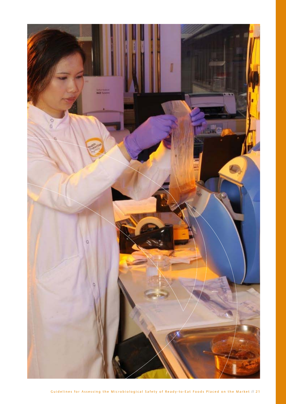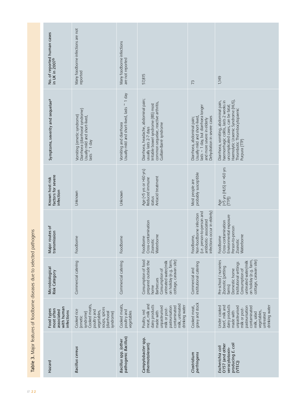|                                                                         | No. of reported human cases<br>in UK in 2007 <sup>b</sup>          | Many foodborne infections are not<br>reported                                                                                   | Many foodborne infections<br>are not reported                         | 57,815                                                                                                                                                                   |                                                                                                                                                                       |                                                                                                                                                                                                                      |
|-------------------------------------------------------------------------|--------------------------------------------------------------------|---------------------------------------------------------------------------------------------------------------------------------|-----------------------------------------------------------------------|--------------------------------------------------------------------------------------------------------------------------------------------------------------------------|-----------------------------------------------------------------------------------------------------------------------------------------------------------------------|----------------------------------------------------------------------------------------------------------------------------------------------------------------------------------------------------------------------|
|                                                                         | Symptoms, severity and sequelae <sup>a</sup>                       | Diarrhoea (diarrhoeal syndrome)<br>Vomiting (emetic syndrome)<br>Usually mild and short-lived,<br>lasts ~ 1 day                 | Usually mild and short-lived, lasts ~ 1 day<br>Vomiting and diarrhoea | Diarrhoea, headache, abdominal pain;<br>common sequelae, reactive arthritis,<br>Guillain-Barré syndrome<br>Irritable bowel syndrome (IBS) most<br>usually lasts 2-7 days | 73<br>lasts ~ 1 day, but diarrhoea longer<br>Dehydration in severe cases<br>Usually mild and short-lived,<br>Diarrhoea, abdominal pain;<br>and more severe in elderly | 1,149<br>Haemolytic Uraemic Syndrome (HUS),<br>haemorrhagic colitis, lasts 2 weeks in<br>Diarrhoea, vomiting, abdominal pain,<br>uncomplicated cases, can be fatal;<br>Thrombotic Thrombocytopaenic<br>Purpura (TTP) |
|                                                                         | factors for severe<br>Known host risk<br>infection                 | Unknown                                                                                                                         | Unknown                                                               | Age (<5 yrs or >60 yrs)<br>Antacid treatment<br>Reduced immune<br>status                                                                                                 | probably susceptible<br>Most people are                                                                                                                               | Age<br>(<5 yrs (HUS) or >60 yrs<br>(TTP))                                                                                                                                                                            |
|                                                                         | Major routes of<br>transmission                                    | Foodborne                                                                                                                       | Foodborne                                                             | Foodborne<br>Cross-contamination<br>Waterborne<br>Zoonotic                                                                                                               | occur in elderly)<br>(i.e. person-to-person and<br>Non-foodborne infection<br>antibiotic-associated<br>Foodborne,<br>nfections                                        | Environmental exposure<br>Cross-contamination<br>Person-to-person<br>Waterborne<br>Foodborne<br>Zoonotic                                                                                                             |
| Table 3. Major features of foodborne diseases due to selected pathogens | Microbiological<br>Risk Category                                   | Commercial catering                                                                                                             | Commercial catering                                                   | Consumption of food<br>prepared outside the<br>on holiday (e.g. farm<br>cottage, caravan site)<br>untreated water/milk<br>Consumption of<br><b>Barbecues</b><br>home     | institutional catering<br>Commercial and                                                                                                                              | Pre-school / nurseries<br>cottage, caravan site)<br>on holiday (e.g. farm<br>untreated water/milk<br>Institutional settings<br>Zoonotic (petting<br>Consumption of<br>Domestic home<br>farms)                        |
|                                                                         | with human<br>Food types<br>most often<br>associated<br>infections | Cooked meats,<br>soups, spices<br>Cooked rice<br>poultry and<br>vegetables,<br>syndrome)<br>(diarrhoeal<br>syndrome)<br>(emetic | Cooked meats,<br>poultry and<br>vegetables                            | meat, milk and<br>milk, untreated<br>dairy products<br>drinking water<br>pasteurisation<br>unpasteurised<br>contaminated<br>milk or post-<br>Poultry, red<br>made with   | gravy and stock<br>Cooked meat,                                                                                                                                       | dairy products<br>drinking water<br>beef, milk and<br>Under cooked<br>unpasteurised<br>contaminated<br>pasteurisation<br>milk or post-<br>made with<br>vegetables,<br>milk, salad<br>untreated                       |
|                                                                         | Hazard                                                             | <b>Bacillus</b> cereus                                                                                                          | pathogenic Bacillus)<br>Bacillus spp. (other                          | Campylobacter spp.<br>(thermotolerant)                                                                                                                                   | perfringens<br>Clostridium                                                                                                                                            | producing E. coli<br>O157 (and other<br>Escherichia coli<br>verocytotoxin-<br>(VTEC)                                                                                                                                 |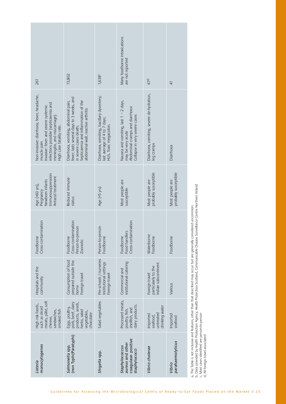| 261                                                                                                                                                                                                 | 13,802                                                                                                                                                                                   | 1,638 <sup>c</sup>                                                                                 | Many foodborne intoxications<br>are not reported                                                                              | 47d                                                         | $\frac{4}{3}$                           |                                                                                                                                                                                                                                                                                                                                                    |
|-----------------------------------------------------------------------------------------------------------------------------------------------------------------------------------------------------|------------------------------------------------------------------------------------------------------------------------------------------------------------------------------------------|----------------------------------------------------------------------------------------------------|-------------------------------------------------------------------------------------------------------------------------------|-------------------------------------------------------------|-----------------------------------------|----------------------------------------------------------------------------------------------------------------------------------------------------------------------------------------------------------------------------------------------------------------------------------------------------------------------------------------------------|
| Non-invasive: diarrhoea, fever, headache,<br>infections possible (septicaemia and<br>nvasive: fever and severe systemic<br>meningitis, and miscarriage).<br>High case fatality rate.<br>muscle pain | fever; lasts several days to 3 weeks, and<br>Septicaemia and inflammation of the<br>Diarrhoea, vomiting, abdominal pain,<br>abdominal wall, reactive arthritis<br>in severe cases death; | Diarrhoea, vomiting, bacillary dysentery;<br>last average of 4 to 7 days;<br>HUS, Toxic megacolon. | Nausea and vomiting, last 1 - 2 days,<br>Abdominal cramps and diarrhoea<br>Collapse in very severe cases<br>may be very acute | Diarrhoea, vomiting, severe de-hydration,<br>leg cramps     | Diarrhoea                               |                                                                                                                                                                                                                                                                                                                                                    |
| Immunosuppression<br>Antacid treatment<br>Newborn infants<br>Age (>60 yrs),<br>Pregnancy                                                                                                            | Reduced immune<br>status                                                                                                                                                                 | Age (<5 yrs)                                                                                       | Most people are<br>susceptible                                                                                                | probably susceptible<br>Most people are                     | probably susceptible<br>Most people are |                                                                                                                                                                                                                                                                                                                                                    |
| Cross-contamination<br>Foodborne                                                                                                                                                                    | Cross-contamination<br>Person-to-person<br>Foodborne<br>Zoonotic                                                                                                                         | Person-to-person<br>Foodborne                                                                      | Cross-contamination<br>Food handlers<br>Foodborne                                                                             | Waterborne<br>Foodborne                                     | Foodborne                               |                                                                                                                                                                                                                                                                                                                                                    |
| Hospitals and the<br>community                                                                                                                                                                      | Consumption of food<br>prepared outside the<br>Foreign travel<br>home                                                                                                                    | Pre-schools / nurseries<br>Institutional settings<br>Foreign travel                                | institutional catering<br>Commercial and                                                                                      | ndian subcontinent<br>particularly to the<br>Foreign travel | Various                                 |                                                                                                                                                                                                                                                                                                                                                    |
| meats, pâté, soft<br>High risk foods,<br>such as sliced<br>smoked fish<br>sandwiches,<br>cheese,                                                                                                    | Eggs, poultry,<br>pork, beef, dairy<br>products, seeds,<br>herbs, salad<br>vegetables,<br>chocolate                                                                                      | Salad vegetables                                                                                   | Processed meats,<br>dairy products.<br>shellfish, and<br>poultry, fish,                                                       | drinking water<br>untreated<br>Imported<br>seafood,         | Imported<br>seafood                     |                                                                                                                                                                                                                                                                                                                                                    |
| monocytogenes<br>Listeria                                                                                                                                                                           | (non Typhi/Paratyphi)<br>Salmonella spp.                                                                                                                                                 | Shigella spp.                                                                                      | coagulase-positive<br>aureus and other<br>Staphylococcus<br>staphylococci                                                     | Vibrio cholerae                                             | parahaemolyticus<br>Vibrio              | b, Data provided by Health Protection Agency, Health Protection Scotland, Communicable Disease Surveillance Centre Northern Ireland<br>a, The Table is not inclusive and features, other than that described may occur but are generally considered uncommon.<br>c, Most cases identified are person-to-person<br>d, All foreign travel associated |

Guidelines for Assessing the Microbiological Safety of Ready-to-Eat Foods Placed on the Market // 23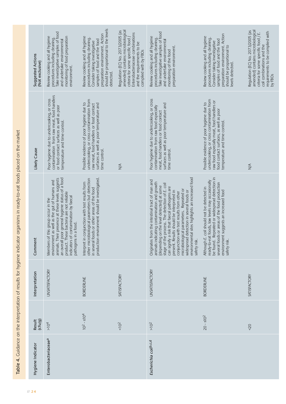| <b>Suggested Actions</b><br>(Not exclusive) | Take investigative samples of food<br>Review cooking and all hygiene<br>monitoring of food preparation<br>procedures including cleaning.<br>and undertake environmental<br>environment.                                                                                                                    | should be proportional to the levels<br>preparation environment. Action<br>Review cooking and all hygiene<br>procedures including cleaning.<br>samples of food and the food<br>Consider taking investigative<br>detected. | amended) contains microbiological<br>Regulation (EC) No. 2073/2005 (as<br>Enterobacteriaceae combinations<br>criteria for some specific food /<br>and the requirements to be<br>complied with by FBOs | Take investigative samples of food<br>Review cooking and all hygiene<br>procedures including cleaning.<br>and undertake environmental<br>preparation environment.<br>monitoring of the food                                                                                                                                                                                                                                                                                                       | preparation environment. Action<br>Review cooking and all hygiene<br>procedures including cleaning.<br>samples of food and the food<br>Consider taking investigative<br>should be proportional to<br>levels detected.                                        | amended) contains microbiological<br>Requlation (EC) No. 2073/2005 (as<br>requirements to be complied with<br>criteria for some specific food / E.<br>coli combinations and the<br>by FBOs |
|---------------------------------------------|------------------------------------------------------------------------------------------------------------------------------------------------------------------------------------------------------------------------------------------------------------------------------------------------------------|---------------------------------------------------------------------------------------------------------------------------------------------------------------------------------------------------------------------------|-------------------------------------------------------------------------------------------------------------------------------------------------------------------------------------------------------|---------------------------------------------------------------------------------------------------------------------------------------------------------------------------------------------------------------------------------------------------------------------------------------------------------------------------------------------------------------------------------------------------------------------------------------------------------------------------------------------------|--------------------------------------------------------------------------------------------------------------------------------------------------------------------------------------------------------------------------------------------------------------|--------------------------------------------------------------------------------------------------------------------------------------------------------------------------------------------|
| Likely Cause                                | contamination from raw meat, food handlers<br>Poor hygiene due to undercooking, or cross<br>or food contact surfaces as well as poor<br>temperature and time control.                                                                                                                                      | undercooking, or cross contamination from<br>Possible evidence of poor hygiene due to<br>surfaces as well as poor temperature and<br>raw meat, food handlers or food contact<br>time control.                             | $\frac{1}{N}$                                                                                                                                                                                         | Poor hygiene due to undercooking, or cross<br>surfaces as well as poor temperature and<br>contamination from raw food especially<br>meat, food handlers or food contact<br>time control.                                                                                                                                                                                                                                                                                                          | undercooking, or cross contamination from<br>raw food especially meat, food handlers or<br>Possible evidence of poor hygiene due to<br>food contact surfaces, as well as poor<br>temperature and time control.                                               | $\frac{1}{N}$                                                                                                                                                                              |
| Comment                                     | an overall poor general hygiene status of a food<br>animals. Their presence at these levels suggests<br>environment as well as the gut of humans and<br>product. These bacteria are not reliable<br>indicators of contamination by faecal<br>of this group occur in the<br>pathogens in a food.<br>Members | production environment should be investigated<br>other microbiological parameters but detection<br>in conjunction with test results from<br>in several foods or other areas of the food<br>Interpret i                    |                                                                                                                                                                                                       | environmental sites highlights an increased food<br>Originates from the intestinal tract of man and<br>animals indicating contamination and growth<br>stage of the process. The detection of E. coli<br>(depending on the level detected) at some<br>can signify a risk that faecal pathogens are<br>microbiological parameters. Repeated or<br>present. Results should be interpreted in<br>widespread detection in several foods or<br>conjunction with test results from other<br>safety risk. | be found. Repeated or widespread detection in<br>ready-to-eat foods, low levels may occasionally<br>several foods or areas of the food production<br>E. coli should not be detected in<br>environment suggests an increased food<br>safety risk.<br>Although |                                                                                                                                                                                            |
| Interpretation                              | UNSATISFACTORY                                                                                                                                                                                                                                                                                             | <b>BORDERLINE</b>                                                                                                                                                                                                         | SATISFACTORY                                                                                                                                                                                          | UNSATISFACTORY                                                                                                                                                                                                                                                                                                                                                                                                                                                                                    | <b>BORDERLINE</b>                                                                                                                                                                                                                                            | SATISFACTORY                                                                                                                                                                               |
| (ctu/g)<br>Result                           | >104                                                                                                                                                                                                                                                                                                       | $102 - 504$                                                                                                                                                                                                               | 10 <sup>2</sup>                                                                                                                                                                                       | $>102$                                                                                                                                                                                                                                                                                                                                                                                                                                                                                            | $20 - 5102$                                                                                                                                                                                                                                                  | 50                                                                                                                                                                                         |
| Hygiene Indicator                           | Enterobacteriaceae <sup>a</sup>                                                                                                                                                                                                                                                                            |                                                                                                                                                                                                                           |                                                                                                                                                                                                       | Escherichia colib.c.d                                                                                                                                                                                                                                                                                                                                                                                                                                                                             |                                                                                                                                                                                                                                                              |                                                                                                                                                                                            |

Table 4. Guidance on the interpretation of results for hygiene indicator organisms in ready-to-eat foods placed on the market Table 4. Guidance on the interpretation of results for hygiene indicator organisms in ready-to-eat foods placed on the market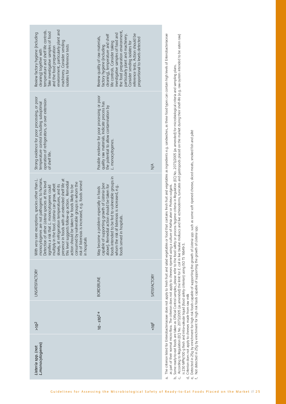| environment, particularly plant and<br>temperature and shelf life controls.<br>Take investigative samples of food<br>Review factory hygiene (including<br>machinery. Consider sending<br>isolates for reference tests<br>and the food preparation<br>cleaning) together with                                                                                                                                                                                                                                                                                                              | the food preparation environment,<br>investigative samples of food and<br>reference tests. Action should be<br>particularly plant and machinery.<br>cleaning), temperature and shelf<br>Review quality of raw materials,<br>proportional to levels detected<br>life controls. Consider taking<br>Consider sending isolates for<br>factory hygiene (including |                                                                                                                                                                     |
|-------------------------------------------------------------------------------------------------------------------------------------------------------------------------------------------------------------------------------------------------------------------------------------------------------------------------------------------------------------------------------------------------------------------------------------------------------------------------------------------------------------------------------------------------------------------------------------------|--------------------------------------------------------------------------------------------------------------------------------------------------------------------------------------------------------------------------------------------------------------------------------------------------------------------------------------------------------------|---------------------------------------------------------------------------------------------------------------------------------------------------------------------|
| Strong evidence for poor processing, or poor<br>operation of refrigerators, or over extension<br>temperature control including suboptimal<br>of shelf lite.                                                                                                                                                                                                                                                                                                                                                                                                                               | Possible evidence for poor processing or poor<br>quality raw materials. Indicate process has<br>the potential to allow contamination by<br>L. monocytogenes.                                                                                                                                                                                                 | or food that contains fresh fruit and vegetables as ingredients e.g. sandwiches, as these food types can contain high levels of Enterobacteriaceae<br>$\frac{1}{2}$ |
| monocytogenes are not pathogenic to humans.<br>With very rare exceptions, species other than L.<br>presence in foods with an extended shelf life at<br>risk of listeriosis is increased, e.g. foods served<br>Detection of other Listeria species at this level<br>this level suggests follow-up action. Remedial<br>consumed by vulnerable groups in whom the<br>in the food. Listeria can grow, albeit<br>action should be taken for foods likely to be<br>slowly, at refrigeration temperatures, and its<br>a risk that L. monocytogenes could<br>n hospitals<br>signifies<br>multiply | foods intended to be fed to vulnerable groups in<br>capable of supporting growth of Listeria (see<br>above). Remedial action should be taken for<br>whom the risk of listeriosis is increased, e.g.<br>May become a problem especially in foods<br>oods served in hospitals.                                                                                 |                                                                                                                                                                     |
| UNSATISFACTORY                                                                                                                                                                                                                                                                                                                                                                                                                                                                                                                                                                            | <b>BORDERLINE</b>                                                                                                                                                                                                                                                                                                                                            | The criterion listed for Enterobacteriaceae does not apply to fresh fruit and salad vegetables<br>SATISFACTORY                                                      |
| >10 <sup>2</sup>                                                                                                                                                                                                                                                                                                                                                                                                                                                                                                                                                                          | $10 - 5102$ e                                                                                                                                                                                                                                                                                                                                                | 50 <sub>1</sub>                                                                                                                                                     |
| L.monocytogenes)<br>Listeria spp. (not                                                                                                                                                                                                                                                                                                                                                                                                                                                                                                                                                    |                                                                                                                                                                                                                                                                                                                                                              |                                                                                                                                                                     |

 $\mathfrak{a}$ 

as part of their normal micro-flora. The criterion does not apply to cheeses ripened using a culture of *Hafnia alvei* or *Proteus vulgaris.*

b, Some ready-to-eat foods are taken as Official Control samples, please refer to the food safety or process hygiene criteria in Regulation (EC) No. 2073/2005 (as amended) for microbiological criteria and sampling plans.

י, as part of their normal microfloa. The criterion does not deses ripened using a culture of *Hafnia alvei or Proteus wigans*.<br>באחר המשפחה המשפחה המשפחה המשפחה של המשפחה של המשפחה של המשפחה המשפחה של המשפחה של המשפחה של According to Requlation (EC) No. 2073/2005 (as amended) the limit for E, coli in live big big be pastle molluscs and incoderms, tunicates and qastropods placed on the market during their shelf-life (e.g. raw oysters intend is 230 MPN/100 g flesh and intra-valvular liquid (food safety criterion) using ISO TS 16649-3. is 230 MPN/100 g flesh and intra-valvular liquid (food safety criterion) using ISO TS 16649-3.

d, Criterion does not apply to cheeses made from raw milk d, Criterion does not apply to cheeses made from raw milk

Detected in 25g by emichment for high risk foods capable of supporting the growth of Listeria spp. such as some soft ripened cheese, sliced meats, smoked fish and pâté<br>Not detected in 25g by emichment for high risk foods c e, Detected in 25g by enrichment for high risk foods capable of supporting the growth of *Listeria spp.* such as some soft ripened cheese, sliced meats, smoked fish and pâté  $\mathbb{C}$  .

f, Not detected in 25g by enrichment for high risk foods capable of supporting the growth of *Listeria* spp.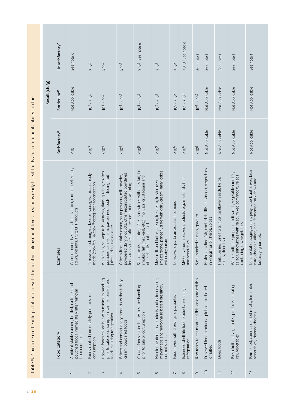|                               | Table 5. Guidance on the interpretation of results for aerobic colony                                                               | count levels in various ready-to-eat foods and components placed on the                                                                                              |                           |                   |                             |
|-------------------------------|-------------------------------------------------------------------------------------------------------------------------------------|----------------------------------------------------------------------------------------------------------------------------------------------------------------------|---------------------------|-------------------|-----------------------------|
|                               |                                                                                                                                     |                                                                                                                                                                      |                           | Result (cfu/g)    |                             |
|                               | Food Category                                                                                                                       | Examples                                                                                                                                                             | Satisfactory <sup>a</sup> | Borderlineb       | Unsatisfactory <sup>c</sup> |
| $\overline{\phantom{0}}$      | Ambient stable canned, bottled, cartoned and<br>pouched foods immediately after removal<br>from container                           | Canned products such as tuna, salmon, corned beef, soups,<br>fruit; UHT products<br>stews, desserts,                                                                 | $rac{10}{5}$              | Not Applicable    | See note d                  |
| $\sim$                        | Foods cooked immediately prior to sale or<br>consumption                                                                            | pizza, ready<br>meals (cook/chill & cook/freeze) after regeneration<br>burgers, kebabs, sausages,<br>Takeaway food,                                                  | $10^{3}$                  | $103 - < 105$     | $\geq 10^{5}$               |
| $\sim$                        | Cooked foods chilled but with minimum handling<br>prior to sale or consumption; canned pasteurised<br>foods requiring refrigeration | Whole pies, sausage rolls, samosas, flans, quiches, chicken<br>portions; canned ham, pasteurised foods including fruit<br>juice and soups; desserts                  | 10 <sup>4</sup>           | $10^{4} - 10^{7}$ | $\geq 10^7$                 |
| 4                             | Bakery and confectionery products without dairy<br>cream, powdered foods                                                            | powdered dairy products, other reconstituted powdered<br>Cakes without dairy cream, soup powders, milk powder,<br>foods ready to eat after reconstitution or warming | 10 <sup>4</sup>           | $10^{4} - 10^{6}$ | $\geq 10^6$                 |
| LN,                           | Cooked foods chilled but with some handling<br>prior to sale or consumption                                                         | Sliced meats, cut pies, pâté, sandwiches without salad, hot<br>smoked fish (mackerel, etc.), molluscs, crustaceans and<br>other shellfish out of shell               | $10^{5}$                  | $105 - < 107$     | See note e<br>$\geq 10^7$   |
| 6                             | Non-fermented dairy products and dairy desserts,<br>mayonnaise and mayonnaise based dressings,<br>cooked sauces                     | Most milk and butter, cream, ice cream, fresh cheese<br>(mascarpone, paneer), trifle with dairy cream, satay, cakes<br>with dairy cream                              | $10^{5}$                  | $105 - 107$       | $\geq 10^7$                 |
| $\overline{\phantom{a}}$      | Food mixed with dressings, dips, pastes                                                                                             | taramasalata, houmous<br>Coleslaw, dips,                                                                                                                             | $10^{6}$                  | $10^{6} - 10^{7}$ | $\geq 10^7$                 |
| $\infty$                      | Extended shelf life food products requiring<br>efrigeration                                                                         | packed products, e.g. meat, fish, fruit<br>MAP or vacuum<br>and vegetables                                                                                           | $10^{6}$                  | $10^6 - 10^8$     | $20108$ See note e          |
| $\sigma$                      | Raw ready-to-eat meat and fish, cold smoked fish                                                                                    | Sushi, smoked salmon, gravalax                                                                                                                                       | $10^{6}$                  | $106 - < 107$     | See note f                  |
| $\supseteq$                   | Preserved food products -pickled, marinated<br>or salted                                                                            | Pickled or salted fish, cooked shellfish in vinegar, vegetables<br>herbs, spices<br>in vinegar or oil,                                                               | Not Applicable            | Not Applicable    | See note f                  |
| $\overleftarrow{\phantom{a}}$ | Dried foods                                                                                                                         | Fruits, berries, vine fruits, nuts, sunflower seeds, herbs,<br>spices, dried fish                                                                                    | Not Applicable            | Not Applicable    | See note f                  |
| 12                            | Fresh fruit and vegetables, products containg<br>raw vegetables                                                                     | Whole fruit, pre-prepared fruit salads, vegetable crudités,<br>salads, sandwiches with salad, mixed commodity salads<br>containing raw vegetables                    | Not Applicable            | Not Applicable    | See note f                  |
| $\tilde{L}$                   | Fermented, cured and dried meats, fermented<br>vegetables, ripened cheeses                                                          | Continental sausages /salamis, jerky, sauerkraut, olives, bean<br>curd, cheddar, stilton, brie, fermented milk drinks and<br>etc<br>butter, yoghurt,                 | Not Applicable            | Not Applicable    | See note f                  |

 $1/26$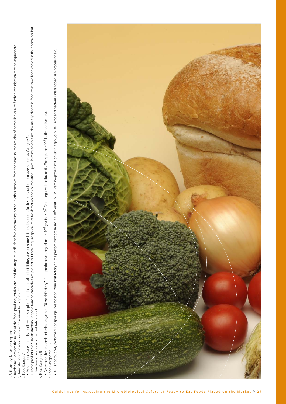# a, Satisfactory: No action required a, Satisfactory: No action required

b, Borderline: Consider the source of the food (producer/retailer etc.) and the stage of shelf life before determining action. If other samples from the same source are also of borderline quality further investigation may b, Borderline: Consider the food (producer/retailer etc.) and the stage of shelf life before determining action. If other samples from the same source are also of borderline quality further investigation may be appropriate c, Unsatisfactory: Consider investigating reasons for high count c, Unsatisfactory: Consider investigating reasons for high count

d, Food Category1

• Most products are normally sterile when sampled from the container but if they are consumed after subsequent further preparation then assess them as Category 5. • Most products are normally sterile when sampled from the container but if they are consumed after subsequent further preparation then assess them as Category 5. d, Food Category1

• These products are "Unsatisfactory" if spore forming anaerobes are present but these require special tests for detection and enumeration. Spore forming aerobes are also usually absent in foods that have been cooked in th · These products are "Unsatisfactory" if spore forming anaerobes are present but these require special tests for detection and enumeration. Spore forming aerobes are also usually absent in foods that have been cooked in th low levels may occur in canned fish products. low levels may occur in canned fish products.

e, Food Category 8 e, Food Category 8

• Determine the predominant micro-organism. "Unsatisfactory" if the predominant organism is > 106 yeasts, >10<sup>7</sup> Gram negative bacillus or Bacillus spp., or >108 lactic acid bacteria. • Determine the predominant micro-organism. "Unsatisfactory" if the predominant organism is > 106 yeasts, >107 Gram negative bacillus or *Bacillus* spp., or >108 lactic acid bacteria.

f, Food Categories 9-13 f, Food Categories 9 -13

• ACCs not routinely performed. For spoilage investigation, "Unsatisfactory" if the predominant organism is > 10<sup>6</sup> yeasts, >10<sup>7</sup> Gram negative bacilli or Bacillus spp., or >10<sup>8</sup> lactic acid bacteria unless added as a pr • ACCs not routinely performed. For spoilage investigation, "Unsatisfactory" if the predominant organism is > 10<sup>6</sup> yeasts, >10<sup>7</sup> Gram negative bacilli or Bacillus spp., or >10<sup>8</sup> lactic acid bacteria unless added as a pr

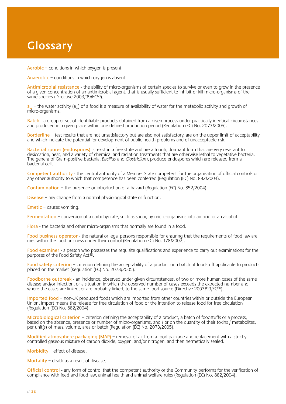# **Glossary**

Aerobic – conditions in which oxygen is present

Anaerobic – conditions in which oxygen is absent.

Antimicrobial resistance - the ability of micro-organisms of certain species to survive or even to grow in the presence of a given concentration of an antimicrobial agent, that is usually sufficient to inhibit or kill micro-organisms of the same species (Directive 2003/99/EC<sup>60</sup>).

 $a_w$  – the water activity ( $a_w$ ) of a food is a measure of availability of water for the metabolic activity and growth of micro-organisms.

Batch - a group or set of identifiable products obtained from a given process under practically identical circumstances and produced in a given place within one defined production period (Regulation (EC) No. 2073/2005).

Borderline – test results that are not unsatisfactory but are also not satisfactory, are on the upper limit of acceptability and which indicate the potential for development of public health problems and of unacceptable risk.

Bacterial spores (endospores) - exist in a free state and are a tough, dormant form that are very resistant to desiccation, heat, and a variety of chemical and radiation treatments that are otherwise lethal to vegetative bacteria. The genera of Gram-positive bacteria, *Bacillus* and *Clostridium*, produce endospores which are released from a bacterial cell.

Competent authority - the central authority of a Member State competent for the organisation of official controls or any other authority to which that competence has been conferred (Regulation (EC) No. 882/2004).

Contamination – the presence or introduction of a hazard (Regulation (EC) No. 852/2004).

Disease – any change from a normal physiological state or function.

Emetic – causes vomiting.

Fermentation – conversion of a carbohydrate, such as sugar, by micro-organisms into an acid or an alcohol.

Flora - the bacteria and other micro-organisms that normally are found in a food.

Food business operator - the natural or legal persons responsible for ensuring that the requirements of food law are met within the food business under their control (Regulation (EC) No. 178/2002).

Food examiner - a person who possesses the requisite qualifications and experience to carry out examinations for the purposes of the Food Safety Act<sup>18</sup>.

Food safety criterion – criterion defining the acceptability of a product or a batch of foodstuff applicable to products placed on the market (Regulation (EC) No. 2073/2005).

Foodborne outbreak - an incidence, observed under given circumstances, of two or more human cases of the same disease and/or infection, or a situation in which the observed number of cases exceeds the expected number and where the cases are linked, or are probably linked, to the same food source (Directive 2003/99/EC<sup>60</sup>).

Imported food – non-UK produced foods which are imported from other countries within or outside the European Union. Import means the release for free circulation of food or the intention to release food for free circulation (Regulation (EC) No. 882/2004).

Microbiological criterion – criterion defining the acceptability of a product, a batch of foodstuffs or a process, based on the absence, presence or number of micro-organisms, and / or on the quantity of their toxins / metabolites, per unit(s) of mass, volume, area or batch (Regulation (EC) No. 2073/2005).

Modified atmosphere packaging (MAP) – removal of air from a food package and replacement with a strictly controlled gaseous mixture of carbon dioxide, oxygen, and/or nitrogen, and then hermetically sealed.

Morbidity – effect of disease.

Mortality – death as a result of disease.

Official control - any form of control that the competent authority or the Community performs for the verification of compliance with feed and food law, animal health and animal welfare rules (Regulation (EC) No. 882/2004).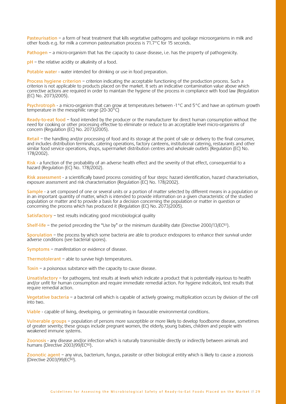Pasteurisation – a form of heat treatment that kills vegetative pathogens and spoilage microorganisms in milk and other foods e.g. for milk a common pasteurisation process is 71.7°C for 15 seconds.

Pathogen – a micro-organism that has the capacity to cause disease, i.e. has the property of pathogenicity.

**pH** – the relative acidity or alkalinity of a food.

Potable water - water intended for drinking or use in food preparation.

Process hygiene criterion – criterion indicating the acceptable functioning of the production process. Such a criterion is not applicable to products placed on the market. It sets an indicative contamination value above which corrective actions are required in order to maintain the hygiene of the process in compliance with food law (Regulation (EC) No. 2073/2005).

Psychrotroph - a micro-organism that can grow at temperatures between -1°C and 5°C and have an optimum growth temperature in the mesophilic range (20-30°C)

Ready-to-eat food – food intended by the producer or the manufacturer for direct human consumption without the need for cooking or other processing effective to eliminate or reduce to an acceptable level micro-organisms of concern (Regulation (EC) No. 2073/2005).

Retail – the handling and/or processing of food and its storage at the point of sale or delivery to the final consumer, and includes distribution terminals, catering operations, factory canteens, institutional catering, restaurants and other similar food service operations, shops, supermarket distribution centres and wholesale outlets (Regulation (EC) No. 178/2002).

Risk - a function of the probability of an adverse health effect and the severity of that effect, consequential to a hazard (Regulation (EC) No. 178/2002).

Risk assessment - a scientifically based process consisting of four steps: hazard identification, hazard characterisation, exposure assessment and risk characterisation (Regulation (EC) No. 178/2002).

Sample - a set composed of one or several units or a portion of matter selected by different means in a population or in an important quantity of matter, which is intended to provide information on a given characteristic of the studied population or matter and to provide a basis for a decision concerning the population or matter in question or concerning the process which has produced it (Regulation (EC) No. 2073/2005).

Satisfactory – test results indicating good microbiological quality

Shelf-life – the period preceding the "Use by" or the minimum durability date (Directive 2000/13/EC61).

Sporulation – the process by which some bacteria are able to produce endospores to enhance their survival under adverse conditions (see bacterial spores).

Symptoms – manifestation or evidence of disease.

Thermotolerant – able to survive high temperatures.

Toxin – a poisonous substance with the capacity to cause disease.

Unsatisfactory – for pathogens, test results at levels which indicate a product that is potentially injurious to health and/or unfit for human consumption and require immediate remedial action. For hygiene indicators, test results that require remedial action.

Vegetative bacteria – a bacterial cell which is capable of actively growing; multiplication occurs by division of the cell into two.

Viable - capable of living, developing, or germinating in favourable environmental conditions.

Vulnerable groups – population of persons more susceptible or more likely to develop foodborne disease, sometimes of greater severity; these groups include pregnant women, the elderly, young babies, children and people with weakened immune systems.

Zoonosis - any disease and/or infection which is naturally transmissible directly or indirectly between animals and humans (Directive 2003/99/EC<sup>60</sup>).

Zoonotic agent - any virus, bacterium, fungus, parasite or other biological entity which is likely to cause a zoonosis (Directive 2003/99/EC<sup>60</sup>).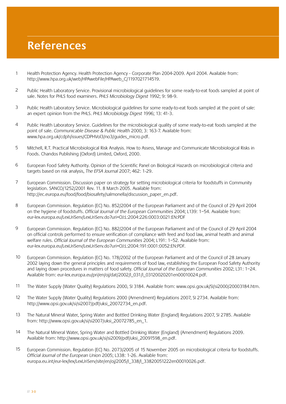# **References**

- Health Protection Agency. Health Protection Agency Corporate Plan 2004-2009. April 2004. Available from: http://www.hpa.org.uk/web/HPAwebFile/HPAweb\_C/1197021714519. 1
- Public Health Laboratory Service. Provisional microbiological guidelines for some ready-to-eat foods sampled at point of sale. Notes for PHLS food examiners. *PHLS Microbiology Digest* 1992; 9: 98-9. 2
- Public Health Laboratory Service. Microbiological guidelines for some ready-to-eat foods sampled at the point of sale: an expert opinion from the PHLS. *PHLS Microbiology Digest* 1996; 13: 41-3. 3
- Public Health Laboratory Service. Guidelines for the microbiological quality of some ready-to-eat foods sampled at the point of sale. *Communicable Disease & Public Health* 2000; 3: 163-7. Available from: www.hpa.org.uk/cdph/issues/CDPHVol3/no3/guides\_micro.pdf. 4
- Mitchell, R.T. Practical Microbiological Risk Analysis. How to Assess, Manage and Communicate Microbiological Risks in Foods. Chandos Publishing (Oxford) Limited, Oxford, 2000. 5
- European Food Safety Authority. Opinion of the Scientific Panel on Biological Hazards on microbiological criteria and targets based on risk analysis, *The EFSA Journal* 2007; 462: 1-29. 6
- European Commission. Discussion paper on strategy for setting microbiological criteria for foodstuffs in Community legislation. SANCO/1252/2001 Rev. 11. 8 March 2005. Available from: http://ec.europa.eu/food/food/biosafety/salmonella/discussion\_paper\_en.pdf. 7
- European Commission. Regulation (EC) No. 852/2004 of the European Parliament and of the Council of 29 April 2004 on the hygiene of foodstuffs. *Official Journal of the European Communities* 2004; L139: 1–54. Available from: eur-lex.europa.eu/LexUriServ/LexUriServ.do?uri=OJ:L:2004:226:0003:0021:EN:PDF 8
- European Commission. Regulation (EC) No. 882/2004 of the European Parliament and of the Council of 29 April 2004 on official controls performed to ensure verification of compliance with feed and food law, animal health and animal welfare rules. *Official Journal of the European Communities* 2004; L191: 1–52. Available from: eur-lex.europa.eu/LexUriServ/LexUriServ.do?uri=OJ:L:2004:191:0001:0052:EN:PDF. 9
- European Commission. Regulation (EC) No. 178/2002 of the European Parliament and of the Council of 28 January 2002 laying down the general principles and requirements of food law, establishing the European Food Safety Authority and laying down procedures in matters of food safety. *Official Journal of the European Communities* 2002; L31: 1–24. Available from: eur-lex.europa.eu/pri/en/oj/dat/2002/l\_031/l\_03120020201en00010024.pdf. 10
- The Water Supply (Water Quality) Regulations 2000, SI 3184. Available from: www.opsi.gov.uk/SI/si2000/20003184.htm. 11
- The Water Supply (Water Quality) Regulations 2000 (Amendment) Regulations 2007, SI 2734. Available from: http://www.opsi.gov.uk/si/si2007/pdf/uksi\_20072734\_en.pdf. 12
- The Natural Mineral Water, Spring Water and Bottled Drinking Water (England) Regulations 2007, SI 2785. Available from: http://www.opsi.gov.uk/si/si2007/uksi\_20072785\_en\_1. 13
- The Natural Mineral Water, Spring Water and Bottled Drinking Water (England) (Amendment) Regulations 2009. Available from: http://www.opsi.gov.uk/si/si2009/pdf/uksi\_20091598\_en.pdf. 14
- European Commission. Regulation (EC) No. 2073/2005 of 15 November 2005 on microbiological criteria for foodstuffs. *Official Journal of the European Union* 2005; L338: 1-26. Available from: europa.eu.int/eur-lex/lex/LexUriServ/site/en/oj/2005/l\_338/l\_33820051222en00010026.pdf. 15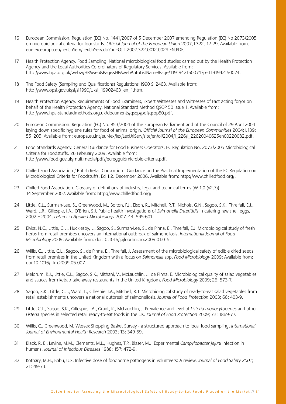- European Commission. Regulation (EC) No. 1441/2007 of 5 December 2007 amending Regulation (EC) No 2073/2005 on microbiological criteria for foodstuffs. *Official Journal of the European Union* 2007; L322: 12-29. Available from: eur-lex.europa.eu/LexUriServ/LexUriServ.do?uri=OJ:L:2007:322:0012:0029:EN:PDF. 16
- Health Protection Agency. Food Sampling. National microbiological food studies carried out by the Health Protection Agency and the Local Authorities Co-ordinators of Regulatory Services. Available from: http://www.hpa.org.uk/webw/HPAweb&Page&HPAwebAutoListName/Page/1191942150074?p=1191942150074. 17
- The Food Safety (Sampling and Qualifications) Regulations 1990 SI 2463. Available from: http://www.opsi.gov.uk/si/si1990/Uksi\_19902463\_en\_1.htm. 18
- Health Protection Agency. Requirements of Food Examiners, Expert Witnesses and Witnesses of Fact acting for/or on behalf of the Health Protection Agency. National Standard Method QSOP 50 Issue 1. Available from: http://www.hpa-standardmethods.org.uk/documents/qsop/pdf/qsop50.pdf. 19
- European Commission. Regulation (EC) No. 853/2004 of the European Parliament and of the Council of 29 April 2004 laying down specific hygiene rules for food of animal origin. *Official Journal of the European Communities* 2004; L139: 55–205. Available from: europa.eu.int/eur-lex/lex/LexUriServ/site/en/oj/2004/l\_226/l\_22620040625en00220082.pdf. 20
- Food Standards Agency. General Guidance for Food Business Operators. EC Regulation No. 2073/2005 Microbiological Criteria for Foodstuffs. 26 February 2009. Available from: http://www.food.gov.uk/multimedia/pdfs/ecregguidmicrobiolcriteria.pdf. 21
- Chilled Food Association / British Retail Consortium. Guidance on the Practical Implementation of the EC Regulation on Microbiological Criteria for Foodstuffs. Ed 1.2. December 2006. Available from: http://www.chilledfood.org/. 22
- Chilled Food Association. Glossary of definitions of industry, legal and technical terms (W 1.0 (v2.7)). 14 September 2007. Available from: http://www.chilledfood.org/. 23
- Little, C.L., Surman-Lee, S., Greenwood, M., Bolton, F.J., Elson, R., Mitchell, R.T., Nichols, G.N., Sagoo, S.K., Threlfall, E.J., Ward, L.R., Gillespie, I.A., O'Brien, S.J. Public health investigations of *Salmonella Enteritidis* in catering raw shell eggs, 2002 – 2004. *Letters in Applied Microbiology* 2007: 44: 595-601. 24
- Elviss, N.C., Little, C.L., Hucklesby, L., Sagoo, S., Surman-Lee, S., de Pinna, E., Threlfall, E.J. Microbiological study of fresh herbs from retail premises uncovers an international outbreak of salmonellosis. *International Journal of Food Microbiology* 2009: Available from: doi:10.1016/j.ijfoodmicro.2009.01.015. 25
- Willis, C., Little, C.L., Sagoo, S., de Pinna, E., Threlfall, J. Assessment of the microbiological safety of edible dried seeds from retail premises in the United Kingdom with a focus on *Salmonella* spp. *Food Microbiology* 2009: Available from: doi:10.1016/j.fm.2009.05.007. 26
- Meldrum, R.J., Little, C.L., Sagoo, S.K., Mithani, V., McLauchlin, J., de Pinna, E. Microbiological quality of salad vegetables and sauces from kebab take-away restaurants in the United Kingdom. *Food Microbiology* 2009; 26: 573-7. 27
- Sagoo, S.K., Little, C.L., Ward, L., Gillespie, I.A., Mitchell, R.T. Microbiological study of ready-to-eat salad vegetables from retail establishments uncovers a national outbreak of salmonellosis. *Journal of Food Protection* 2003; 66: 403-9. 28
- Little, C.L., Sagoo, S.K., Gillespie, I.A., Grant, K., McLauchlin, J. Prevalence and level of *Listeria monocytogenes* and other *Listeria* species in selected retail ready-to-eat foods in the UK. *Journal of Food Protection* 2009; 72: 1869-77. 29
- Willis, C., Greenwood, M. Wessex Shopping Basket Survey a structured approach to local food sampling. *International Journal of Environmental Health Research* 2003; 13: 349-59. 30
- Black, R. E., Levine, M.M., Clements, M.L., Hughes, T.P., Blaser, M.J. Experimental *Campylobacter jejuni* infection in humans. *Journal of Infectious Diseases* 1988; 157: 472-9. 31
- Kothary, M.H., Babu, U.S. Infective dose of foodborne pathogens in volunteers: A review. *Journal of Food Safety 2001*; 21: 49-73. 32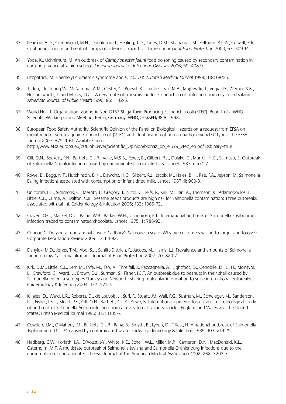- Pearson, A.D., Greenwood, M.H., Donaldson, J., Healing, T.D., Jones, D.M., Shahamat, M., Feltham, R.K.A., Colwell, R.R. Continuous source outbreak of campylobacteriosis traced to chicken. *Journal of Food Protection* 2000; 63: 309-14. 33
- Yoda, K., Uchhimura, M. An outbreak of *Campylobacter jejuni* food poisoning caused by secondary contamination in cooking practice at a high school. *Japanese Journal of Infectious Diseases* 2006; 59: 408-9. 34
- Fitzpatrick, M. Haemolytic uraemic syndrome and *E. coli* O157. *British Medical Journal* 1999; 318: 684-5. 35
- Tilden, J.Jr, Young W., McNamara, A.M., Custer, C., Boesel, B., Lambert-Fair, M.A., Majkowski, J., Vugia, D., Werner, S.B., Hollingsworth, T. and Morris, J.G.Jr. A new route of transmission for Escherichia coli: infection from dry cured salami. *American Journal of Public Health* 1996; 86: 1142-5. 36
- World Health Organisation. Zoonotic Non-O157 Shiga Toxin-Producing Escherichia coli (STEC). Report of a WHO Scientific Working Group Meeting. Berlin, Germany. WHO/CRS/APH/98.8, 1998. 37
- European Food Safety Authority. Scientific Opinion of the Panel on Biological Hazards on a request from EFSA on monitoring of verotoxigenic Escherichia coli (VTEC) and identification of human pathogenic VTEC types. The EFSA Journal 2007; 579: 1-61. Available from: http://www.efsa.europa.eu/cs/BlobServer/Scientific\_Opinion/biohaz\_op\_ej579\_vtec\_en.pdf?ssbinary=true. 38
- Gill, O.N., Sockett, P.N., Bartlett, C.L.R., Vaile, M.S.B., Rowe, B., Gilbert, R.J., Dulake, C., Murrell, H.C., Salmaso, S. Outbreak of Salmonella Napoli infection caused by contaminated chocolate bars. Lancet 1983; i: 574-7. 39
- Rowe, B., Begg, N.T., Hutchinson, D.N., Dawkins, H.C., Gilbert, R.J., Jacob, M., Hales, B.H., Rae, F.A., Jepson, M. Salmonella Ealing infections associated with consumption of infant dried milk. Lancet 1987; ii: 900-3. 40
- Unicomb, L.E., Simmons, G., Merritt, T., Gregory, J., Nicol, C., Jelfs, P., Kirk, M., Tan, A., Thomson, R., Adamopoulos, J., Little, C.L., Currie, A., Dalton, C.B. Sesame seeds products are high risk for Salmonella contamination: Three outbreaks associated with tahini. Epidemiology & Infection 2005; 133: 1065-72. 41
- Craven, O.C., Mackel, D.C., Baine, W.B., Barker, W.H., Gangarosa, E.J. International outbreak of Salmonella Eastbourne infection traced to contaminated chocolate. Lancet 1975; 1: 788-92. 42
- Connor, C. Defying a reputational crisis Cadbury's Salmonella scare: Why are customers willing to forget and forgive? Corporate Reputation Review 2009; 12: 64-82. 43
- Danyluk, M.D., Jones, T.M., Abd, S.J., Schlitt-Dittrich, F., Jacobs, M., Harris, L.J. Prevalence and amounts of Salmonella found on raw California almonds. Journal of Food Protection 2007; 70: 820-7. 44
- Kirk, D.M., Little, C.L., Lem M., Fyfe, M., Tan, A., Threlfall, J., Paccagnella, A., Lightfoot, D., Genobile, D., Li, H., McIntyre, L., Crawford, C., Ward, L., Brown, D.J., Surman, S., Fisher, I.S.T. An outbreak due to peanuts in their shell caused by Salmonella enterica serotypes Stanley and Newport—sharing molecular information to solve international outbreaks. Epidemiology & Infection 2004; 132: 571-7. 45
- Killalea, D., Ward, L.R., Roberts, D., de Louvois, J., Sufi, F., Stuart, JM, Wall, P.G., Susman, M., Schwieger, M., Sanderson, P.J., Fisher, I.S.T., Mead, P.S., Gill, O.N., Bartlett, C.L.R., Rowe, B. International epidemiological and microbiological study of outbreak of Salmonella Agona infection from a ready to eat savoury snack-I: England and Wales and the United States. British Medical Journal 1996; 313: 1105-7. 46
- Cowden, J.M., O'Mahony, M., Bartlett, C.L.R., Rana, B., Smyth, B., Lynch, D., Tillett, H. A national outbreak of Salmonella Typhimurium DT 124 caused by contaminated salami sticks. Epidemiology & Infection 1989; 103: 219-25. 47
- Hedberg, C.W., Korlath, J.A., D'Aoust, J-Y., White, K.E., Schell, W.L., Miller, M.R., Cameron, D.N., MacDonald, K.L., Osterholm, M.T. A multistate outbreak of Salmonella Javiana and Salmonella Oranienburg infections due to the consumption of contaminated cheese. Journal of the American Medical Association 1992; 268: 3203-7. 48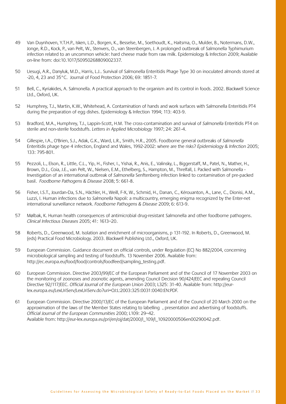- Van Duynhoven, Y.T.H.P., Isken, L.D., Borgen, K., Besselse, M., Soethoudt, K., Haitsma, O., Mulder, B., Notermans, D.W., Jonge, R.D., Kock, P., van Pelt, W., Stenvers, O., van Steenbergen, J. A prolonged outbreak of Salmonella Typhimurium infection related to an uncommon vehicle: hard cheese made from raw milk. Epidemiology & Infection 2009; Available on-line from: doi:10.1017/S0950268809002337. 49
- Uesugi, A.R., Danyluk, M.D., Harris, L.J.. Survival of Salmonella Enteritidis Phage Type 30 on inoculated almonds stored at -20, 4, 23 and 35°C. Journal of Food Protection 2006; 69: 1851-7. 50
- Bell, C., Kyriakides, A. Salmonella. A practical approach to the organism and its control in foods. 2002. Blackwell Science Ltd., Oxford, UK. 51
- Humphrey, T.J., Martin, K.W., Whitehead, A. Contamination of hands and work surfaces with Salmonella Enteritidis PT4 during the preparation of egg dishes. Epidemiology & Infection 1994; 113: 403-9. 52
- Bradford, M.A., Humphrey, T.J., Lappin-Scott, H.M. The cross-contamination and survival of *Salmonella* Enteritidis PT4 on sterile and non-sterile foodstuffs. *Letters in Applied Microbiology* 1997; 24: 261-4. 53
- Gillespie, I.A., O'Brien, S.J., Adak, G.K., Ward, L.R., Smith, H.R., 2005. Foodborne general outbreaks of *Salmonella* Enteritidis phage type 4 infection, England and Wales, 1992-2002: where are the risks? *Epidemiology & Infection* 2005; 133: 795-801. 54
- Pezzoli, L., Elson, R., Little, C.L., Yip, H., Fisher, I., Yishai, R., Anis, E., Valinsky, L., Biggerstaff, M., Patel, N., Mather, H., Brown, D.J., Coia, J.E., van Pelt, W., Nielsen, E.M., Ethelberg, S., Hampton, M., Threlfall, J. Packed with Salmonella - Investigation of an international outbreak of *Salmonella* Senftenberg infection linked to contamination of pre-packed basil. *Foodborne Pathogens & Disease* 2008; 5: 661-8. 55
- Fisher, I.S.T., Jourdan-Da, S.N., Hächler, H., Weill, F-X, W., Schmid, H., Danan, C., Kérouanton, A., Lane, C., Dionisi, A.M., Luzzi, I. Human infections due to *Salmonella* Napoli: a multicountry, emerging enigma recognized by the Enter-net international surveillance network. *Foodborne Pathogens & Disease* 2009; 6: 613-9. 56
- Mølbak, K. Human health consequences of antimicrobial drug-resistant Salmonella and other foodborne pathogens. *Clinical Infectious Diseases* 2005; 41: 1613–20. 57
- Roberts, D., Greenwood, M. Isolation and enrichment of microorganisms, p 131-192. In Roberts, D., Greenwood, M. (eds) Practical Food Microbiology. 2003. Blackwell Publishing Ltd., Oxford, UK. 58
- European Commission. Guidance document on official controls, under Regulation (EC) No 882/2004, concerning microbiological sampling and testing of foodstuffs. 13 November 2006. Available from: http://ec.europa.eu/food/food/controls/foodfeed/sampling\_testing.pdf. 59
- European Commission. Directive 2003/99/EC of the European Parliament and of the Council of 17 November 2003 on the monitoring of zoonoses and zoonotic agents, amending Council Decision 90/424/EEC and repealing Council Directive 92/117/EEC. *Official Journal of the European Union* 2003; L325: 31-40. Available from: http://eurlex.europa.eu/LexUriServ/LexUriServ.do?uri=OJ:L:2003:325:0031:0040:EN:PDF. 60
- European Commission. Directive 2000/13/EC of the European Parliament and of the Council of 20 March 2000 on the approximation of the laws of the Member States relating to labelling , presentation and advertising of foodstuffs. *Official Journal of the European Communities* 2000; L109: 29–42. Available from: http://eur-lex.europa.eu/pri/en/oj/dat/2000/l\_109/l\_10920000506en00290042.pdf. 61